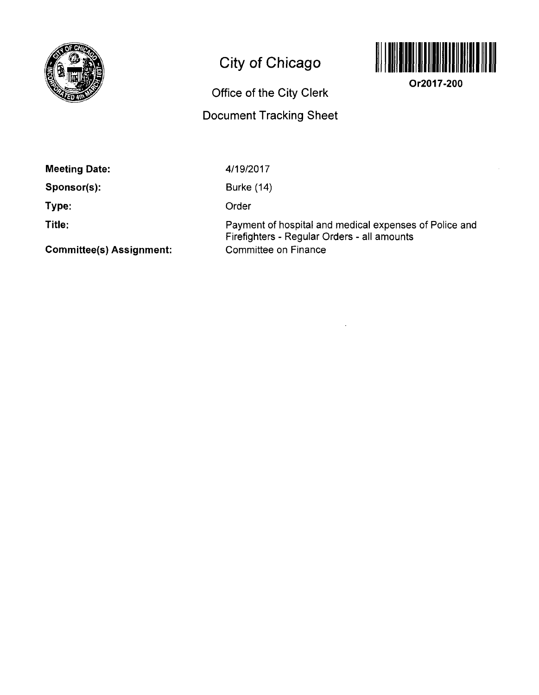

# **City of Chicago**

## **Office of the City Clerk**

## **Document Tracking Sheet**



**Or2017-200** 

**Meeting Date:** 

**Sponsor(s):** 

**Type:** 

**Title:** 

4/19/2017

Burke (14)

Order

Payment of hospital and medical expenses of Police and Firefighters - Regular Orders - all amounts Committee on Finance

**Committee(s) Assignment:**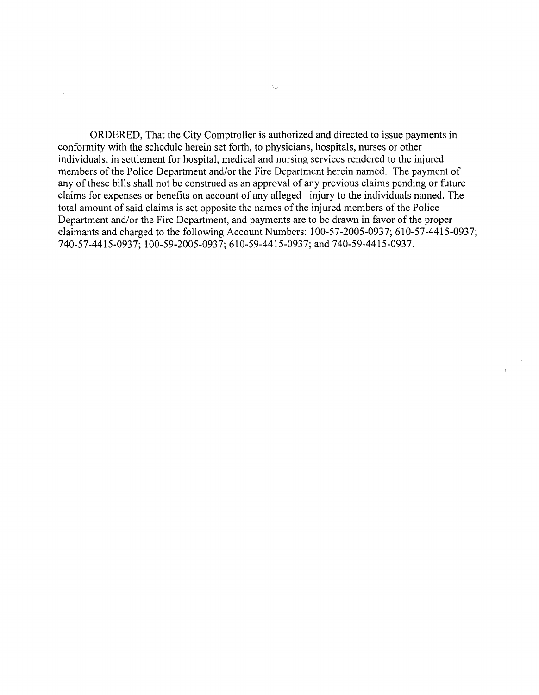ORDERED, That the City Comptroller is authorized and directed to issue payments in conformity with the schedule herein set forth, to physicians, hospitals, nurses or other individuals, in settlement for hospital, medical and nursing services rendered to the injured members of the Police Department and/or the Fire Department herein named. The payment of any of these bills shall not be construed as an approval of any previous claims pending or future claims for expenses or benefits on account of any alleged injury to the individuals named. The total amount of said claims is set opposite the names of the injured members of the Police Department and/or the Fire Department, and payments are to be drawn in favor of the proper claimants and charged to the following Account Numbers: 100-57-2005-0937; 610-57-4415-0937; 740-57-4415-0937; 100-59-2005-0937; 610-59-4415-0937; and 740-59-4415-0937.

 $\chi_{\omega}$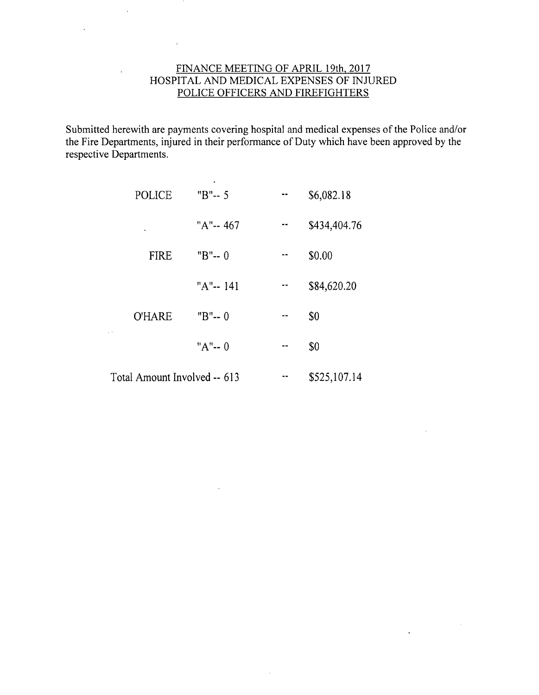### FINANCE MEETING OF APRIL 19th, 2017 HOSPITAL AND MEDICAL EXPENSES OF INJURED POLICE OFFICERS AND FIREFIGHTERS

 $\ddot{\phantom{a}}$ 

Submitted herewith are payments covering hospital and medical expenses of the Police and/or the Fire Departments, injured in their performance of Duty which have been approved by the respective Departments.

| <b>POLICE</b>                | "B"-- 5     | \$6,082.18   |
|------------------------------|-------------|--------------|
|                              | "A"-- 467   | \$434,404.76 |
| <b>FIRE</b>                  | " $B$ "-- 0 | \$0.00       |
|                              | "A"-- 141   | \$84,620.20  |
| <b>O'HARE</b>                | " $B$ "-- 0 | \$0          |
|                              | "A"-- 0     | \$0          |
| Total Amount Involved -- 613 |             | \$525,107.14 |

 $\sim$ 

 $\ddot{\phantom{a}}$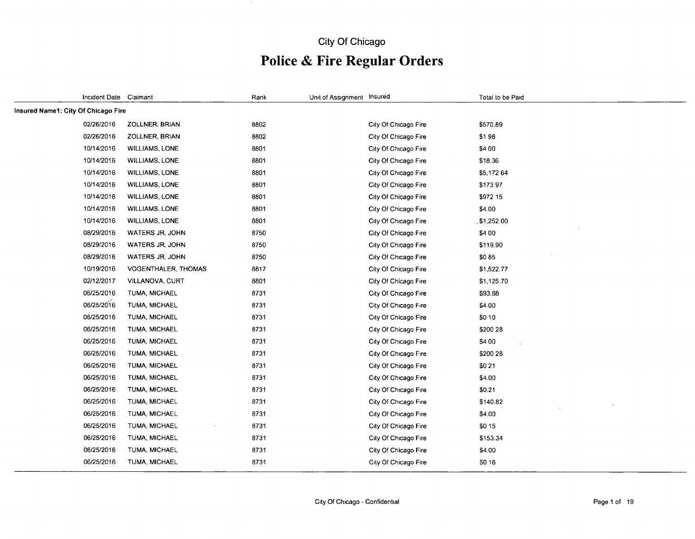## **City Of Chicago**

 $\sim$   $\sim$ 

## **Police & Fire Regular Orders**

| Incident Date Claimant              |                            | Rank | Unit of Assignment Insured |                      | Total to be Paid |
|-------------------------------------|----------------------------|------|----------------------------|----------------------|------------------|
| Insured Name1: City Of Chicago Fire |                            |      |                            |                      |                  |
| 02/26/2016                          | <b>ZOLLNER, BRIAN</b>      | 8802 |                            | City Of Chicago Fire | \$570.89         |
| 02/26/2016                          | ZOLLNER, BRIAN             | 8802 |                            | City Of Chicago Fire | \$198            |
| 10/14/2016                          | <b>WILLIAMS, LONE</b>      | 8801 |                            | City Of Chicago Fire | \$4 00           |
| 10/14/2016                          | <b>WILLIAMS, LONE</b>      | 8801 |                            | City Of Chicago Fire | \$18.36          |
| 10/14/2016                          | <b>WILLIAMS, LONE</b>      | 8801 |                            | City Of Chicago Fire | \$5,172 64       |
| 10/14/2016                          | <b>WILLIAMS, LONE</b>      | 8801 |                            | City Of Chicago Fire | \$17397          |
| 10/14/2016                          | <b>WILLIAMS, LONE</b>      | 8801 |                            | City Of Chicago Fire | \$972 15         |
| 10/14/2016                          | <b>WILLIAMS, LONE</b>      | 8801 |                            | City Of Chicago Fire | \$4.00           |
| 10/14/2016                          | <b>WILLIAMS, LONE</b>      | 8801 |                            | City Of Chicago Fire | \$1,252.00       |
| 08/29/2016                          | WATERS JR, JOHN            | 8750 |                            | City Of Chicago Fire | \$4 00           |
| 08/29/2016                          | WATERS JR, JOHN            | 8750 |                            | City Of Chicago Fire | \$119.90         |
| 08/29/2016                          | WATERS JR, JOHN            | 8750 |                            | City Of Chicago Fire | \$085            |
| 10/19/2016                          | <b>VOGENTHALER, THOMAS</b> | 8817 |                            | City Of Chicago Fire | \$1,522.77       |
| 02/12/2017                          | VILLANOVA, CURT            | 8801 |                            | City Of Chicago Fire | \$1,125.70       |
| 06/25/2016                          | TUMA MICHAEL               | 8731 |                            | City Of Chicago Fire | \$93.88          |
| 06/25/2016                          | TUMA, MICHAEL              | 8731 |                            | City Of Chicago Fire | \$4.00           |
| 06/25/2016                          | <b>TUMA, MICHAEL</b>       | 8731 |                            | City Of Chicago Fire | \$0 10           |
| 06/25/2016                          | <b>TUMA, MICHAEL</b>       | 8731 |                            | City Of Chicago Fire | \$200 28         |
| 06/25/2016                          | TUMA, MICHAEL              | 8731 |                            | City Of Chicago Fire | \$4 00           |
| 06/25/2016                          | TUMA, MICHAEL              | 8731 |                            | City Of Chicago Fire | \$200 28         |
| 06/25/2016                          | <b>TUMA, MICHAEL</b>       | 8731 |                            | City Of Chicago Fire | \$021            |
| 06/25/2016                          | TUMA, MICHAEL              | 8731 |                            | City Of Chicago Fire | \$4.00           |
| 06/25/2016                          | <b>TUMA, MICHAEL</b>       | 8731 |                            | City Of Chicago Fire | \$0.21           |
| 06/25/2016                          | TUMA, MICHAEL              | 8731 |                            | City Of Chicago Fire | \$140.82         |
| 06/25/2016                          | TUMA, MICHAEL              | 8731 |                            | City Of Chicago Fire | \$4.00           |
| 06/25/2016                          | TUMA, MICHAEL              | 8731 |                            | City Of Chicago Fire | \$0 15           |
| 06/25/2016                          | TUMA, MICHAEL              | 8731 |                            | City Of Chicago Fire | \$153.34         |
| 06/25/2016                          | TUMA, MICHAEL              | 8731 |                            | City Of Chicago Fire | \$4.00           |
| 06/25/2016                          | TUMA, MICHAEL              | 8731 |                            | City Of Chicago Fire | S0 16            |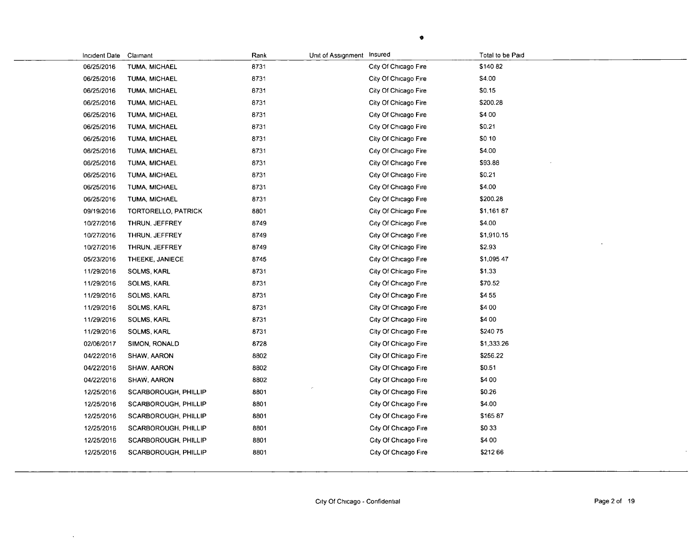| Incident Date Claimant |                      | Rank | Unit of Assignment Insured |                      | Total to be Paid |
|------------------------|----------------------|------|----------------------------|----------------------|------------------|
| 06/25/2016             | TUMA, MICHAEL        | 8731 |                            | City Of Chicago Fire | \$140 82         |
| 06/25/2016             | TUMA, MICHAEL        | 8731 |                            | City Of Chicago Fire | \$4.00           |
| 06/25/2016             | TUMA, MICHAEL        | 8731 |                            | City Of Chicago Fire | \$0.15           |
| 06/25/2016             | TUMA, MICHAEL        | 8731 |                            | City Of Chicago Fire | \$200.28         |
| 06/25/2016             | TUMA, MICHAEL        | 8731 |                            | City Of Chicago Fire | \$4 00           |
| 06/25/2016             | <b>TUMA, MICHAEL</b> | 8731 |                            | City Of Chicago Fire | \$0.21           |
| 06/25/2016             | TUMA, MICHAEL        | 8731 |                            | City Of Chicago Fire | \$0 10           |
| 06/25/2016             | <b>TUMA, MICHAEL</b> | 8731 |                            | City Of Chicago Fire | \$4.00           |
| 06/25/2016             | TUMA, MICHAEL        | 8731 |                            | City Of Chicago Fire | \$93.88          |
| 06/25/2016             | TUMA, MICHAEL        | 8731 |                            | City Of Chicago Fire | \$0.21           |
| 06/25/2016             | TUMA, MICHAEL        | 8731 |                            | City Of Chicago Fire | \$4.00           |
| 06/25/2016             | <b>TUMA, MICHAEL</b> | 8731 |                            | City Of Chicago Fire | \$200.28         |
| 09/19/2016             | TORTORELLO, PATRICK  | 8801 |                            | City Of Chicago Fire | \$1,161 87       |
| 10/27/2016             | THRUN, JEFFREY       | 8749 |                            | City Of Chicago Fire | \$4.00           |
| 10/27/2016             | THRUN, JEFFREY       | 8749 |                            | City Of Chicago Fire | \$1,910.15       |
| 10/27/2016             | THRUN, JEFFREY       | 8749 |                            | City Of Chicago Fire | \$2.93           |
| 05/23/2016             | THEEKE, JANIECE      | 8745 |                            | City Of Chicago Fire | \$1,095 47       |
| 11/29/2016             | SOLMS, KARL          | 8731 |                            | City Of Chicago Fire | \$1.33           |
| 11/29/2016             | <b>SOLMS, KARL</b>   | 8731 |                            | City Of Chicago Fire | \$70.52          |
| 11/29/2016             | <b>SOLMS, KARL</b>   | 8731 |                            | City Of Chicago Fire | \$455            |
| 11/29/2016             | SOLMS, KARL          | 8731 |                            | City Of Chicago Fire | \$4 00           |
| 11/29/2016             | SOLMS, KARL          | 8731 |                            | City Of Chicago Fire | \$4 00           |
| 11/29/2016             | SOLMS, KARL          | 8731 |                            | City Of Chicago Fire | \$24075          |
| 02/06/2017             | SIMON, RONALD        | 8728 |                            | City Of Chicago Fire | \$1,333.26       |
| 04/22/2016             | SHAW, AARON          | 8802 |                            | City Of Chicago Fire | \$256.22         |
| 04/22/2016             | SHAW, AARON          | 8802 |                            | City Of Chicago Fire | \$0.51           |
| 04/22/2016             | SHAW, AARON          | 8802 |                            | City Of Chicago Fire | \$4 00           |
| 12/25/2016             | SCARBOROUGH, PHILLIP | 8801 |                            | City Of Chicago Fire | \$0.26           |
| 12/25/2016             | SCARBOROUGH, PHILLIP | 8801 |                            | City Of Chicago Fire | \$4.00           |
| 12/25/2016             | SCARBOROUGH, PHILLIP | 8801 |                            | City Of Chicago Fire | \$16587          |
| 12/25/2016             | SCARBOROUGH, PHILLIP | 8801 |                            | City Of Chicago Fire | \$033            |
| 12/25/2016             | SCARBOROUGH, PHILLIP | 8801 |                            | City Of Chicago Fire | \$4 00           |
| 12/25/2016             | SCARBOROUGH, PHILLIP | 8801 |                            | City Of Chicago Fire | \$21266          |
|                        |                      |      |                            |                      |                  |

 $\bullet$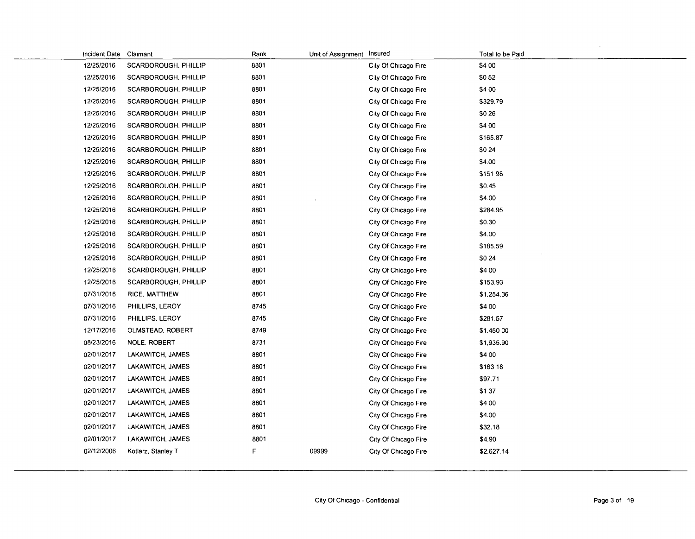| Incident Date | Claimant                    | Rank | Unit of Assignment Insured |                      | Total to be Paid |
|---------------|-----------------------------|------|----------------------------|----------------------|------------------|
| 12/25/2016    | SCARBOROUGH, PHILLIP        | 8801 |                            | City Of Chicago Fire | \$4 00           |
| 12/25/2016    | SCARBOROUGH, PHILLIP        | 8801 |                            | City Of Chicago Fire | \$052            |
| 12/25/2016    | SCARBOROUGH, PHILLIP        | 8801 |                            | City Of Chicago Fire | \$4 00           |
| 12/25/2016    | SCARBOROUGH, PHILLIP        | 8801 |                            | City Of Chicago Fire | \$329.79         |
| 12/25/2016    | <b>SCARBOROUGH, PHILLIP</b> | 8801 |                            | City Of Chicago Fire | \$026            |
| 12/25/2016    | <b>SCARBOROUGH, PHILLIP</b> | 8801 |                            | City Of Chicago Fire | \$4 00           |
| 12/25/2016    | SCARBOROUGH, PHILLIP        | 8801 |                            | City Of Chicago Fire | \$165.87         |
| 12/25/2016    | SCARBOROUGH, PHILLIP        | 8801 |                            | City Of Chicago Fire | \$0 24           |
| 12/25/2016    | SCARBOROUGH, PHILLIP        | 8801 |                            | City Of Chicago Fire | \$4.00           |
| 12/25/2016    | SCARBOROUGH, PHILLIP        | 8801 |                            | City Of Chicago Fire | \$151 98         |
| 12/25/2016    | SCARBOROUGH, PHILLIP        | 8801 |                            | City Of Chicago Fire | \$0.45           |
| 12/25/2016    | SCARBOROUGH, PHILLIP        | 8801 |                            | City Of Chicago Fire | \$4.00           |
| 12/25/2016    | SCARBOROUGH, PHILLIP        | 8801 |                            | City Of Chicago Fire | \$284.95         |
| 12/25/2016    | SCARBOROUGH, PHILLIP        | 8801 |                            | City Of Chicago Fire | \$0.30           |
| 12/25/2016    | SCARBOROUGH, PHILLIP        | 8801 |                            | City Of Chicago Fire | \$4.00           |
| 12/25/2016    | SCARBOROUGH, PHILLIP        | 8801 |                            | City Of Chicago Fire | \$185.59         |
| 12/25/2016    | SCARBOROUGH, PHILLIP        | 8801 |                            | City Of Chicago Fire | \$0 24           |
| 12/25/2016    | <b>SCARBOROUGH, PHILLIP</b> | 8801 |                            | City Of Chicago Fire | \$4 00           |
| 12/25/2016    | SCARBOROUGH, PHILLIP        | 8801 |                            | City Of Chicago Fire | \$153.93         |
| 07/31/2016    | RICE, MATTHEW               | 8801 |                            | City Of Chicago Fire | \$1,254.36       |
| 07/31/2016    | PHILLIPS, LEROY             | 8745 |                            | City Of Chicago Fire | \$4 00           |
| 07/31/2016    | PHILLIPS, LEROY             | 8745 |                            | City Of Chicago Fire | \$281.57         |
| 12/17/2016    | OLMSTEAD, ROBERT            | 8749 |                            | City Of Chicago Fire | \$1,450 00       |
| 08/23/2016    | <b>NOLE, ROBERT</b>         | 8731 |                            | City Of Chicago Fire | \$1,935.90       |
| 02/01/2017    | LAKAWITCH, JAMES            | 8801 |                            | City Of Chicago Fire | \$4 00           |
| 02/01/2017    | LAKAWITCH, JAMES            | 8801 |                            | City Of Chicago Fire | \$163 18         |
| 02/01/2017    | LAKAWITCH, JAMES            | 8801 |                            | City Of Chicago Fire | \$97.71          |
| 02/01/2017    | LAKAWITCH, JAMES            | 8801 |                            | City Of Chicago Fire | \$137            |
| 02/01/2017    | LAKAWITCH, JAMES            | 8801 |                            | City Of Chicago Fire | \$4 00           |
| 02/01/2017    | LAKAWITCH, JAMES            | 8801 |                            | City Of Chicago Fire | \$4.00           |
| 02/01/2017    | LAKAWITCH, JAMES            | 8801 |                            | City Of Chicago Fire | \$32.18          |
| 02/01/2017    | LAKAWITCH, JAMES            | 8801 |                            | City Of Chicago Fire | \$4.90           |
| 02/12/2006    | Kotlarz, Stanley T          | F    | 09999                      | City Of Chicago Fire | \$2,627.14       |
|               |                             |      |                            |                      |                  |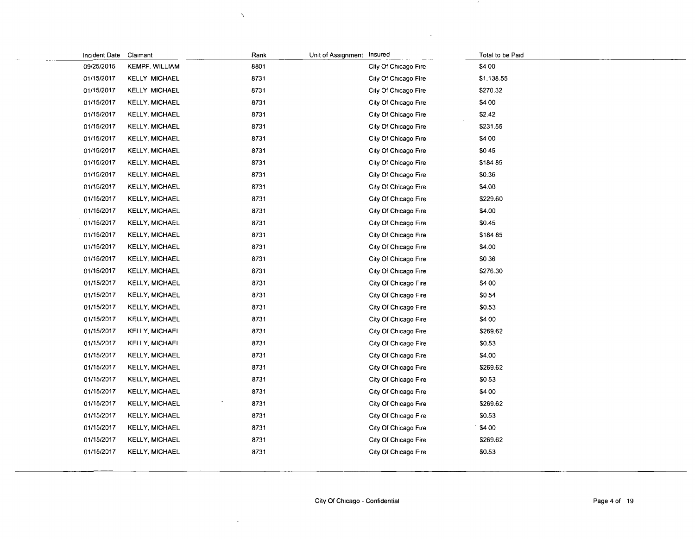| Incident Date | Claimant              | Rank | Unit of Assignment | Insured              | Total to be Paid |
|---------------|-----------------------|------|--------------------|----------------------|------------------|
| 09/25/2015    | <b>KEMPF, WILLIAM</b> | 8801 |                    | City Of Chicago Fire | \$4 00           |
| 01/15/2017    | <b>KELLY, MICHAEL</b> | 8731 |                    | City Of Chicago Fire | \$1,138.55       |
| 01/15/2017    | <b>KELLY, MICHAEL</b> | 8731 |                    | City Of Chicago Fire | \$270.32         |
| 01/15/2017    | <b>KELLY, MICHAEL</b> | 8731 |                    | City Of Chicago Fire | \$4 00           |
| 01/15/2017    | <b>KELLY, MICHAEL</b> | 8731 |                    | City Of Chicago Fire | \$2.42           |
| 01/15/2017    | <b>KELLY, MICHAEL</b> | 8731 |                    | City Of Chicago Fire | \$231.55         |
| 01/15/2017    | <b>KELLY, MICHAEL</b> | 8731 |                    | City Of Chicago Fire | \$4 00           |
| 01/15/2017    | <b>KELLY, MICHAEL</b> | 8731 |                    | City Of Chicago Fire | \$045            |
| 01/15/2017    | <b>KELLY, MICHAEL</b> | 8731 |                    | City Of Chicago Fire | \$184 85         |
| 01/15/2017    | <b>KELLY, MICHAEL</b> | 8731 |                    | City Of Chicago Fire | \$0.36           |
| 01/15/2017    | <b>KELLY, MICHAEL</b> | 8731 |                    | City Of Chicago Fire | \$4.00           |
| 01/15/2017    | <b>KELLY, MICHAEL</b> | 8731 |                    | City Of Chicago Fire | \$229.60         |
| 01/15/2017    | <b>KELLY, MICHAEL</b> | 8731 |                    | City Of Chicago Fire | \$4.00           |
| 01/15/2017    | <b>KELLY, MICHAEL</b> | 8731 |                    | City Of Chicago Fire | \$0.45           |
| 01/15/2017    | <b>KELLY, MICHAEL</b> | 8731 |                    | City Of Chicago Fire | \$18485          |
| 01/15/2017    | <b>KELLY, MICHAEL</b> | 8731 |                    | City Of Chicago Fire | \$4.00           |
| 01/15/2017    | <b>KELLY, MICHAEL</b> | 8731 |                    | City Of Chicago Fire | S0 36            |
| 01/15/2017    | <b>KELLY, MICHAEL</b> | 8731 |                    | City Of Chicago Fire | \$276.30         |
| 01/15/2017    | <b>KELLY, MICHAEL</b> | 8731 |                    | City Of Chicago Fire | \$4 00           |
| 01/15/2017    | <b>KELLY, MICHAEL</b> | 8731 |                    | City Of Chicago Fire | \$054            |
| 01/15/2017    | <b>KELLY, MICHAEL</b> | 8731 |                    | City Of Chicago Fire | \$0.53           |
| 01/15/2017    | <b>KELLY, MICHAEL</b> | 8731 |                    | City Of Chicago Fire | \$4 00           |
| 01/15/2017    | <b>KELLY, MICHAEL</b> | 8731 |                    | City Of Chicago Fire | \$269.62         |
| 01/15/2017    | <b>KELLY, MICHAEL</b> | 8731 |                    | City Of Chicago Fire | \$0.53           |
| 01/15/2017    | <b>KELLY, MICHAEL</b> | 8731 |                    | City Of Chicago Fire | \$4.00           |
| 01/15/2017    | <b>KELLY, MICHAEL</b> | 8731 |                    | City Of Chicago Fire | \$269.62         |
| 01/15/2017    | <b>KELLY, MICHAEL</b> | 8731 |                    | City Of Chicago Fire | \$053            |
| 01/15/2017    | <b>KELLY, MICHAEL</b> | 8731 |                    | City Of Chicago Fire | \$4 00           |
| 01/15/2017    | <b>KELLY, MICHAEL</b> | 8731 |                    | City Of Chicago Fire | \$269.62         |
| 01/15/2017    | <b>KELLY, MICHAEL</b> | 8731 |                    | City Of Chicago Fire | \$0.53           |
| 01/15/2017    | <b>KELLY, MICHAEL</b> | 8731 |                    | City Of Chicago Fire | \$4 00           |
| 01/15/2017    | <b>KELLY, MICHAEL</b> | 8731 |                    | City Of Chicago Fire | \$269.62         |
| 01/15/2017    | <b>KELLY, MICHAEL</b> | 8731 |                    | City Of Chicago Fire | \$0.53           |
|               |                       |      |                    |                      |                  |

 $\bar{\chi}$ 

÷,

 $\sim 20$ 

 $\cdot$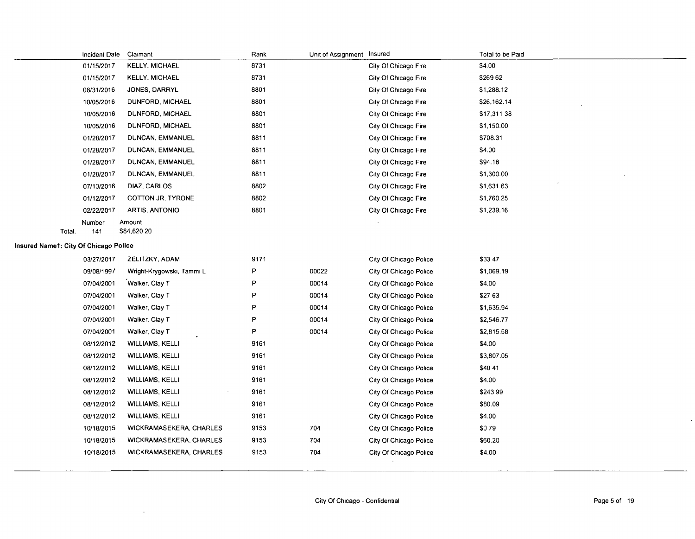|                                       |        | Incident Date Claimant |                                | Rank | Unit of Assignment Insured |                        | Total to be Paid |
|---------------------------------------|--------|------------------------|--------------------------------|------|----------------------------|------------------------|------------------|
|                                       |        | 01/15/2017             | <b>KELLY, MICHAEL</b>          | 8731 |                            | City Of Chicago Fire   | \$4.00           |
|                                       |        | 01/15/2017             | <b>KELLY, MICHAEL</b>          | 8731 |                            | City Of Chicago Fire   | \$26962          |
|                                       |        | 08/31/2016             | JONES, DARRYL                  | 8801 |                            | City Of Chicago Fire   | \$1,288.12       |
|                                       |        | 10/05/2016             | DUNFORD, MICHAEL               | 8801 |                            | City Of Chicago Fire   | \$26,162.14      |
|                                       |        | 10/05/2016             | DUNFORD, MICHAEL               | 8801 |                            | City Of Chicago Fire   | \$17,311 38      |
|                                       |        | 10/05/2016             | DUNFORD, MICHAEL               | 8801 |                            | City Of Chicago Fire   | \$1,150.00       |
|                                       |        | 01/28/2017             | DUNCAN, EMMANUEL               | 8811 |                            | City Of Chicago Fire   | \$708.31         |
|                                       |        | 01/28/2017             | DUNCAN, EMMANUEL               | 8811 |                            | City Of Chicago Fire   | \$4.00           |
|                                       |        | 01/28/2017             | DUNCAN, EMMANUEL               | 8811 |                            | City Of Chicago Fire   | \$94.18          |
|                                       |        | 01/28/2017             | DUNCAN, EMMANUEL               | 8811 |                            | City Of Chicago Fire   | \$1,300.00       |
|                                       |        | 07/13/2016             | DIAZ, CARLOS                   | 8802 |                            | City Of Chicago Fire   | \$1,631.63       |
|                                       |        | 01/12/2017             | COTTON JR, TYRONE              | 8802 |                            | City Of Chicago Fire   | \$1,760.25       |
|                                       |        | 02/22/2017             | ARTIS, ANTONIO                 | 8801 |                            | City Of Chicago Fire   | \$1,239.16       |
|                                       |        | Number                 | Amount                         |      |                            |                        |                  |
|                                       | Total. | 141                    | \$84,620 20                    |      |                            |                        |                  |
| Insured Name1: City Of Chicago Police |        |                        |                                |      |                            |                        |                  |
|                                       |        | 03/27/2017             | ZELITZKY, ADAM                 | 9171 |                            | City Of Chicago Police | \$33 47          |
|                                       |        | 09/08/1997             | Wright-Krygowski, Tammi L      | P    | 00022                      | City Of Chicago Police | \$1,069.19       |
|                                       |        | 07/04/2001             | Walker, Clay T                 | P    | 00014                      | City Of Chicago Police | \$4.00           |
|                                       |        | 07/04/2001             | Walker, Clay T                 | P    | 00014                      | City Of Chicago Police | \$2763           |
|                                       |        | 07/04/2001             | Walker, Clay T                 | P    | 00014                      | City Of Chicago Police | \$1,635.94       |
|                                       |        | 07/04/2001             | Walker, Clay T                 | P    | 00014                      | City Of Chicago Police | \$2,546.77       |
|                                       |        | 07/04/2001             | Walker, Clay T                 | P    | 00014                      | City Of Chicago Police | \$2,815.58       |
|                                       |        | 08/12/2012             | WILLIAMS, KELLI                | 9161 |                            | City Of Chicago Police | \$4.00           |
|                                       |        | 08/12/2012             | <b>WILLIAMS, KELLI</b>         | 9161 |                            | City Of Chicago Police | \$3,807.05       |
|                                       |        | 08/12/2012             | <b>WILLIAMS, KELLI</b>         | 9161 |                            | City Of Chicago Police | \$40 41          |
|                                       |        | 08/12/2012             | <b>WILLIAMS, KELLI</b>         | 9161 |                            | City Of Chicago Police | \$4.00           |
|                                       |        | 08/12/2012             | <b>WILLIAMS, KELLI</b>         | 9161 |                            | City Of Chicago Police | \$24399          |
|                                       |        | 08/12/2012             | <b>WILLIAMS, KELLI</b>         | 9161 |                            | City Of Chicago Police | \$80.09          |
|                                       |        | 08/12/2012             | <b>WILLIAMS, KELLI</b>         | 9161 |                            | City Of Chicago Police | \$4.00           |
|                                       |        | 10/18/2015             | WICKRAMASEKERA, CHARLES        | 9153 | 704                        | City Of Chicago Police | \$079            |
|                                       |        | 10/18/2015             | WICKRAMASEKERA, CHARLES        | 9153 | 704                        | City Of Chicago Police | \$60.20          |
|                                       |        | 10/18/2015             | <b>WICKRAMASEKERA, CHARLES</b> | 9153 | 704                        | City Of Chicago Police | \$4.00           |
|                                       |        |                        |                                |      |                            |                        |                  |

 $\overline{\phantom{0}}$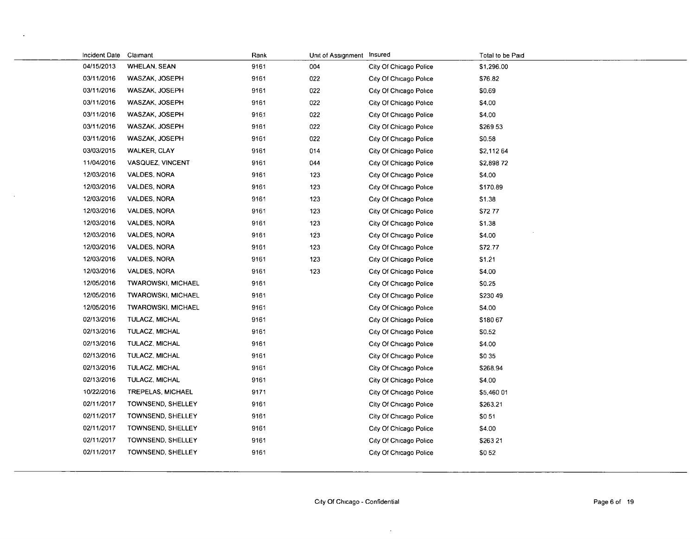| Incident Date | Claimant                  | Rank | Unit of Assignment Insured |                        | Total to be Paid |
|---------------|---------------------------|------|----------------------------|------------------------|------------------|
| 04/15/2013    | <b>WHELAN, SEAN</b>       | 9161 | 004                        | City Of Chicago Police | \$1,296.00       |
| 03/11/2016    | WASZAK, JOSEPH            | 9161 | 022                        | City Of Chicago Police | \$76.82          |
| 03/11/2016    | WASZAK, JOSEPH            | 9161 | 022                        | City Of Chicago Police | \$0.69           |
| 03/11/2016    | WASZAK, JOSEPH            | 9161 | 022                        | City Of Chicago Police | \$4.00           |
| 03/11/2016    | WASZAK, JOSEPH            | 9161 | 022                        | City Of Chicago Police | \$4.00           |
| 03/11/2016    | WASZAK, JOSEPH            | 9161 | 022                        | City Of Chicago Police | \$26953          |
| 03/11/2016    | WASZAK, JOSEPH            | 9161 | 022                        | City Of Chicago Police | \$0.58           |
| 03/03/2015    | <b>WALKER, CLAY</b>       | 9161 | 014                        | City Of Chicago Police | \$2,112 64       |
| 11/04/2016    | VASQUEZ, VINCENT          | 9161 | 044                        | City Of Chicago Police | \$2,898 72       |
| 12/03/2016    | VALDES, NORA              | 9161 | 123                        | City Of Chicago Police | \$4.00           |
| 12/03/2016    | VALDES, NORA              | 9161 | 123                        | City Of Chicago Police | \$170.89         |
| 12/03/2016    | VALDES, NORA              | 9161 | 123                        | City Of Chicago Police | \$1.38           |
| 12/03/2016    | VALDES, NORA              | 9161 | 123                        | City Of Chicago Police | S72 77           |
| 12/03/2016    | VALDES, NORA              | 9161 | 123                        | City Of Chicago Police | \$1.38           |
| 12/03/2016    | VALDES, NORA              | 9161 | 123                        | City Of Chicago Police | \$4.00           |
| 12/03/2016    | VALDES, NORA              | 9161 | 123                        | City Of Chicago Police | \$72.77          |
| 12/03/2016    | VALDES, NORA              | 9161 | 123                        | City Of Chicago Police | \$1.21           |
| 12/03/2016    | VALDES, NORA              | 9161 | 123                        | City Of Chicago Police | \$4.00           |
| 12/05/2016    | TWAROWSKI, MICHAEL        | 9161 |                            | City Of Chicago Police | \$0.25           |
| 12/05/2016    | <b>TWAROWSKI, MICHAEL</b> | 9161 |                            | City Of Chicago Police | \$230 49         |
| 12/05/2016    | TWAROWSKI, MICHAEL        | 9161 |                            | City Of Chicago Police | \$4.00           |
| 02/13/2016    | TULACZ, MICHAL            | 9161 |                            | City Of Chicago Police | \$180 67         |
| 02/13/2016    | TULACZ, MICHAL            | 9161 |                            | City Of Chicago Police | \$0.52           |
| 02/13/2016    | TULACZ, MICHAL            | 9161 |                            | City Of Chicago Police | \$4.00           |
| 02/13/2016    | TULACZ, MICHAL            | 9161 |                            | City Of Chicago Police | \$0 35           |
| 02/13/2016    | TULACZ, MICHAL            | 9161 |                            | City Of Chicago Police | \$268.94         |
| 02/13/2016    | TULACZ, MICHAL            | 9161 |                            | City Of Chicago Police | \$4.00           |
| 10/22/2016    | TREPELAS, MICHAEL         | 9171 |                            | City Of Chicago Police | \$5,460 01       |
| 02/11/2017    | TOWNSEND, SHELLEY         | 9161 |                            | City Of Chicago Police | \$263.21         |
| 02/11/2017    | TOWNSEND, SHELLEY         | 9161 |                            | City Of Chicago Police | \$051            |
| 02/11/2017    | TOWNSEND, SHELLEY         | 9161 |                            | City Of Chicago Police | \$4.00           |
| 02/11/2017    | TOWNSEND, SHELLEY         | 9161 |                            | City Of Chicago Police | \$263 21         |
| 02/11/2017    | TOWNSEND, SHELLEY         | 9161 |                            | City Of Chicago Police | \$052            |
|               |                           |      |                            |                        |                  |

 $\bullet$ 

 $\sim$ 

 $\ddot{\phantom{a}}$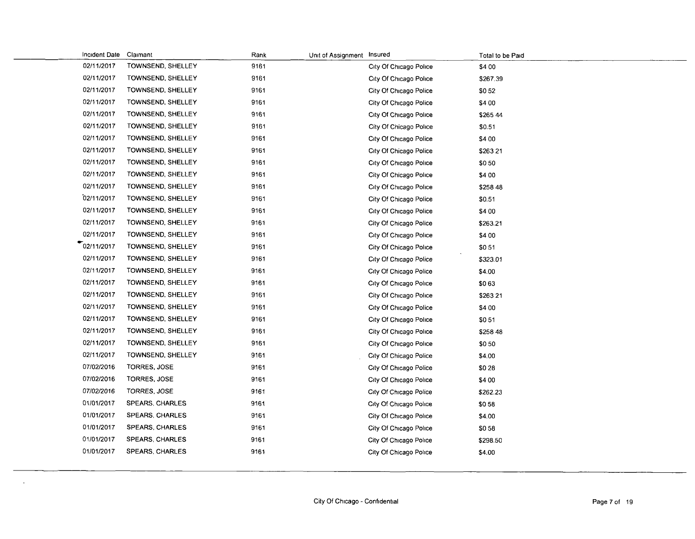| Incident Date Claimant |                        | Rank | Unit of Assignment Insured |                        | Total to be Paid |
|------------------------|------------------------|------|----------------------------|------------------------|------------------|
| 02/11/2017             | TOWNSEND, SHELLEY      | 9161 |                            | City Of Chicago Police | \$4 00           |
| 02/11/2017             | TOWNSEND, SHELLEY      | 9161 |                            | City Of Chicago Police | \$267.39         |
| 02/11/2017             | TOWNSEND, SHELLEY      | 9161 |                            | City Of Chicago Police | \$052            |
| 02/11/2017             | TOWNSEND, SHELLEY      | 9161 |                            | City Of Chicago Police | \$4 00           |
| 02/11/2017             | TOWNSEND, SHELLEY      | 9161 |                            | City Of Chicago Police | \$265 44         |
| 02/11/2017             | TOWNSEND, SHELLEY      | 9161 |                            | City Of Chicago Police | \$0.51           |
| 02/11/2017             | TOWNSEND, SHELLEY      | 9161 |                            | City Of Chicago Police | \$4 00           |
| 02/11/2017             | TOWNSEND, SHELLEY      | 9161 |                            | City Of Chicago Police | \$26321          |
| 02/11/2017             | TOWNSEND, SHELLEY      | 9161 |                            | City Of Chicago Police | \$050            |
| 02/11/2017             | TOWNSEND, SHELLEY      | 9161 |                            | City Of Chicago Police | \$4 00           |
| 02/11/2017             | TOWNSEND, SHELLEY      | 9161 |                            | City Of Chicago Police | \$258 48         |
| 02/11/2017             | TOWNSEND, SHELLEY      | 9161 |                            | City Of Chicago Police | \$0.51           |
| 02/11/2017             | TOWNSEND, SHELLEY      | 9161 |                            | City Of Chicago Police | \$4 00           |
| 02/11/2017             | TOWNSEND, SHELLEY      | 9161 |                            | City Of Chicago Police | \$263.21         |
| 02/11/2017             | TOWNSEND, SHELLEY      | 9161 |                            | City Of Chicago Police | \$4 00           |
| $\tau$ 02/11/2017      | TOWNSEND, SHELLEY      | 9161 |                            | City Of Chicago Police | \$051            |
| 02/11/2017             | TOWNSEND, SHELLEY      | 9161 |                            | City Of Chicago Police | \$323.01         |
| 02/11/2017             | TOWNSEND, SHELLEY      | 9161 |                            | City Of Chicago Police | \$4.00           |
| 02/11/2017             | TOWNSEND, SHELLEY      | 9161 |                            | City Of Chicago Police | \$063            |
| 02/11/2017             | TOWNSEND, SHELLEY      | 9161 |                            | City Of Chicago Police | \$26321          |
| 02/11/2017             | TOWNSEND, SHELLEY      | 9161 |                            | City Of Chicago Police | \$4 00           |
| 02/11/2017             | TOWNSEND, SHELLEY      | 9161 |                            | City Of Chicago Police | \$051            |
| 02/11/2017             | TOWNSEND, SHELLEY      | 9161 |                            | City Of Chicago Police | \$258 48         |
| 02/11/2017             | TOWNSEND, SHELLEY      | 9161 |                            | City Of Chicago Police | \$050            |
| 02/11/2017             | TOWNSEND, SHELLEY      | 9161 |                            | City Of Chicago Police | \$4.00           |
| 07/02/2016             | TORRES, JOSE           | 9161 |                            | City Of Chicago Police | \$028            |
| 07/02/2016             | TORRES, JOSE           | 9161 |                            | City Of Chicago Police | \$4 00           |
| 07/02/2016             | TORRES, JOSE           | 9161 |                            | City Of Chicago Police | \$262.23         |
| 01/01/2017             | SPEARS, CHARLES        | 9161 |                            | City Of Chicago Police | \$058            |
| 01/01/2017             | <b>SPEARS, CHARLES</b> | 9161 |                            | City Of Chicago Police | \$4.00           |
| 01/01/2017             | SPEARS, CHARLES        | 9161 |                            | City Of Chicago Police | \$058            |
| 01/01/2017             | <b>SPEARS, CHARLES</b> | 9161 |                            | City Of Chicago Police | \$298.50         |
| 01/01/2017             | SPEARS, CHARLES        | 9161 |                            | City Of Chicago Police | \$4.00           |
|                        |                        |      |                            |                        |                  |

 $\Delta$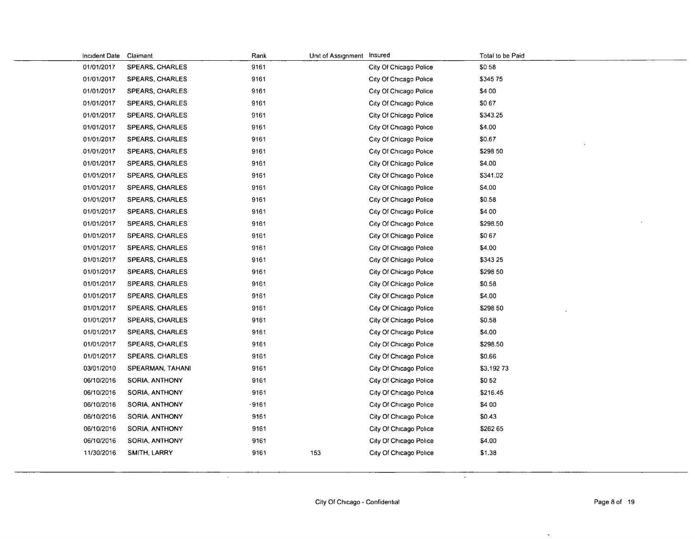| Incident Date | Claimant               | Rank  | Unit of Assignment Insured |                        | Total to be Paid |
|---------------|------------------------|-------|----------------------------|------------------------|------------------|
| 01/01/2017    | SPEARS, CHARLES        | 9161  |                            | City Of Chicago Police | \$058            |
| 01/01/2017    | SPEARS, CHARLES        | 9161  |                            | City Of Chicago Police | \$345 75         |
| 01/01/2017    | SPEARS, CHARLES        | 9161  |                            | City Of Chicago Police | \$4 00           |
| 01/01/2017    | SPEARS CHARLES         | 9161  |                            | City Of Chicago Police | \$067            |
| 01/01/2017    | SPEARS, CHARLES        | 9161  |                            | City Of Chicago Police | \$343.25         |
| 01/01/2017    | SPEARS CHARLES         | 9161  |                            | City Of Chicago Police | \$4.00           |
| 01/01/2017    | <b>SPEARS, CHARLES</b> | 9161  |                            | City Of Chicago Police | \$0.67           |
| 01/01/2017    | SPEARS CHARLES         | 9161  |                            | City Of Chicago Police | \$298 50         |
| 01/01/2017    | <b>SPEARS, CHARLES</b> | 9161  |                            | City Of Chicago Police | \$4.00           |
| 01/01/2017    | <b>SPEARS CHARLES</b>  | 9161  |                            | City Of Chicago Police | \$341.02         |
| 01/01/2017    | <b>SPEARS, CHARLES</b> | 9161  |                            | City Of Chicago Police | S4.00            |
| 01/01/2017    | <b>SPEARS, CHARLES</b> | 9161  |                            | City Of Chicago Police | \$0.58           |
| 01/01/2017    | SPEARS. CHARLES        | 9161  |                            | City Of Chicago Police | \$4 00           |
| 01/01/2017    | SPEARS, CHARLES        | 9161  |                            | City Of Chicago Police | \$298.50         |
| 01/01/2017    | <b>SPEARS, CHARLES</b> | 9161  |                            | City Of Chicago Police | \$0.67           |
| 01/01/2017    | <b>SPEARS, CHARLES</b> | 9161  |                            | City Of Chicago Police | \$4.00           |
| 01/01/2017    | SPEARS, CHARLES        | 9161  |                            | City Of Chicago Police | \$343 25         |
| 01/01/2017    | <b>SPEARS, CHARLES</b> | 9161  |                            | City Of Chicago Police | \$298 50         |
| 01/01/2017    | SPEARS, CHARLES        | 9161  |                            | City Of Chicago Police | \$0.58           |
| 01/01/2017    | <b>SPEARS, CHARLES</b> | 9161  |                            | City Of Chicago Police | \$4.00           |
| 01/01/2017    | <b>SPEARS, CHARLES</b> | 9161  |                            | City Of Chicago Police | \$298 50         |
| 01/01/2017    | <b>SPEARS, CHARLES</b> | 9161  |                            | City Of Chicago Police | \$0.58           |
| 01/01/2017    | SPEARS, CHARLES        | 9161  |                            | City Of Chicago Police | \$4.00           |
| 01/01/2017    | SPEARS, CHARLES        | 9161  |                            | City Of Chicago Police | \$298.50         |
| 01/01/2017    | SPEARS, CHARLES        | 9161  |                            | City Of Chicago Police | \$0.66           |
| 03/01/2010    | SPEARMAN, TAHANI       | 9161  |                            | City Of Chicago Police | \$3,19273        |
| 06/10/2016    | <b>SORIA, ANTHONY</b>  | 9161  |                            | City Of Chicago Police | \$052            |
| 06/10/2016    | SORIA, ANTHONY         | 9161  |                            | City Of Chicago Police | \$216.45         |
| 06/10/2016    | SORIA, ANTHONY         | -9161 |                            | City Of Chicago Police | \$4 00           |
| 06/10/2016    | SORIA, ANTHONY         | 9161  |                            | City Of Chicago Police | \$0.43           |
| 06/10/2016    | SORIA, ANTHONY         | 9161  |                            | City Of Chicago Police | \$262 65         |
| 06/10/2016    | SORIA, ANTHONY         | 9161  |                            | City Of Chicago Police | \$4.00           |
| 11/30/2016    | SMITH LARRY            | 9161  | 153                        | City Of Chicago Police | \$1.38           |
|               |                        |       |                            |                        |                  |

 $\mathcal{A}$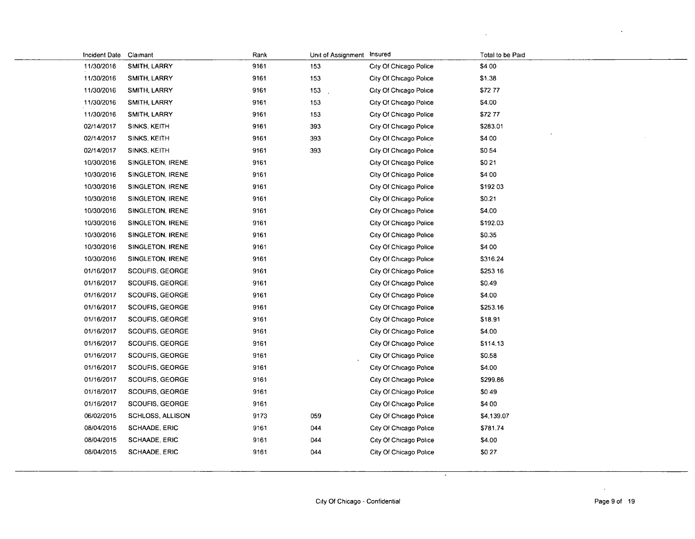| Incident Date Claimant |                         | Rank | Unit of Assignment | Insured                | Total to be Paid |
|------------------------|-------------------------|------|--------------------|------------------------|------------------|
| 11/30/2016             | SMITH, LARRY            | 9161 | 153                | City Of Chicago Police | \$4 00           |
| 11/30/2016             | SMITH, LARRY            | 9161 | 153                | City Of Chicago Police | \$1.38           |
| 11/30/2016             | SMITH, LARRY            | 9161 | 153                | City Of Chicago Police | \$7277           |
| 11/30/2016             | SMITH, LARRY            | 9161 | 153                | City Of Chicago Police | \$4.00           |
| 11/30/2016             | SMITH, LARRY            | 9161 | 153                | City Of Chicago Police | \$7277           |
| 02/14/2017             | SINKS, KEITH            | 9161 | 393                | City Of Chicago Police | \$283.01         |
| 02/14/2017             | SINKS, KEITH            | 9161 | 393                | City Of Chicago Police | \$4 00           |
| 02/14/2017             | SINKS, KEITH            | 9161 | 393                | City Of Chicago Police | \$054            |
| 10/30/2016             | SINGLETON, IRENE        | 9161 |                    | City Of Chicago Police | \$021            |
| 10/30/2016             | SINGLETON, IRENE        | 9161 |                    | City Of Chicago Police | \$4 00           |
| 10/30/2016             | SINGLETON, IRENE        | 9161 |                    | City Of Chicago Police | \$192 03         |
| 10/30/2016             | SINGLETON, IRENE        | 9161 |                    | City Of Chicago Police | \$0.21           |
| 10/30/2016             | SINGLETON, IRENE        | 9161 |                    | City Of Chicago Police | \$4.00           |
| 10/30/2016             | SINGLETON, IRENE        | 9161 |                    | City Of Chicago Police | \$192.03         |
| 10/30/2016             | SINGLETON, IRENE        | 9161 |                    | City Of Chicago Police | \$0.35           |
| 10/30/2016             | SINGLETON, IRENE        | 9161 |                    | City Of Chicago Police | \$4 00           |
| 10/30/2016             | SINGLETON, IRENE        | 9161 |                    | City Of Chicago Police | \$316.24         |
| 01/16/2017             | SCOUFIS, GEORGE         | 9161 |                    | City Of Chicago Police | \$253 16         |
| 01/16/2017             | SCOUFIS, GEORGE         | 9161 |                    | City Of Chicago Police | \$0.49           |
| 01/16/2017             | SCOUFIS, GEORGE         | 9161 |                    | City Of Chicago Police | \$4.00           |
| 01/16/2017             | SCOUFIS, GEORGE         | 9161 |                    | City Of Chicago Police | \$253.16         |
| 01/16/2017             | SCOUFIS, GEORGE         | 9161 |                    | City Of Chicago Police | \$18.91          |
| 01/16/2017             | SCOUFIS, GEORGE         | 9161 |                    | City Of Chicago Police | \$4.00           |
| 01/16/2017             | SCOUFIS, GEORGE         | 9161 |                    | City Of Chicago Police | \$114.13         |
| 01/16/2017             | SCOUFIS, GEORGE         | 9161 |                    | City Of Chicago Police | \$0.58           |
| 01/16/2017             | SCOUFIS, GEORGE         | 9161 |                    | City Of Chicago Police | \$4.00           |
| 01/16/2017             | SCOUFIS, GEORGE         | 9161 |                    | City Of Chicago Police | \$299.86         |
| 01/16/2017             | <b>SCOUFIS, GEORGE</b>  | 9161 |                    | City Of Chicago Police | \$049            |
| 01/16/2017             | SCOUFIS, GEORGE         | 9161 |                    | City Of Chicago Police | \$4 00           |
| 06/02/2015             | <b>SCHLOSS, ALLISON</b> | 9173 | 059                | City Of Chicago Police | \$4,139.07       |
| 08/04/2015             | <b>SCHAADE, ERIC</b>    | 9161 | 044                | City Of Chicago Police | \$781.74         |
| 08/04/2015             | <b>SCHAADE, ERIC</b>    | 9161 | 044                | City Of Chicago Police | \$4.00           |
| 08/04/2015             | SCHAADE, ERIC           | 9161 | 044                | City Of Chicago Police | \$027            |
|                        |                         |      |                    |                        |                  |

 $\sim$ 

 $\mathbf{r}$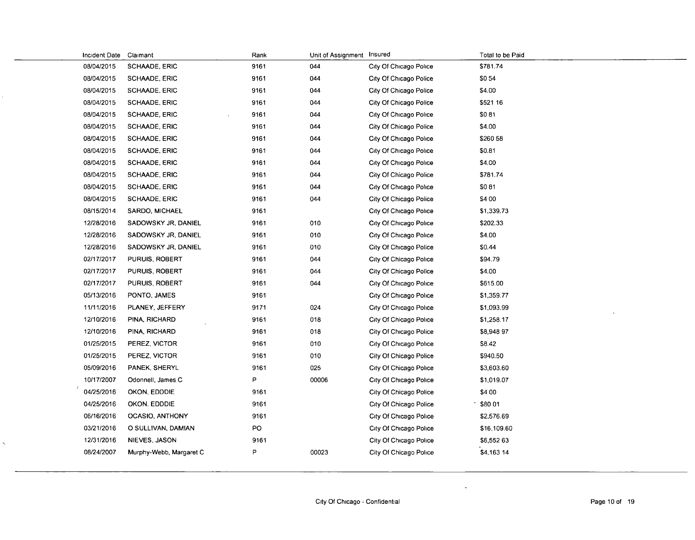| Incident Date | Claimant                | Rank | Unit of Assignment Insured |                        | Total to be Paid |
|---------------|-------------------------|------|----------------------------|------------------------|------------------|
| 08/04/2015    | SCHAADE, ERIC           | 9161 | 044                        | City Of Chicago Police | \$781.74         |
| 08/04/2015    | <b>SCHAADE, ERIC</b>    | 9161 | 044                        | City Of Chicago Police | \$054            |
| 08/04/2015    | <b>SCHAADE, ERIC</b>    | 9161 | 044                        | City Of Chicago Police | \$4.00           |
| 08/04/2015    | <b>SCHAADE, ERIC</b>    | 9161 | 044                        | City Of Chicago Police | \$521 16         |
| 08/04/2015    | <b>SCHAADE, ERIC</b>    | 9161 | 044                        | City Of Chicago Police | \$081            |
| 08/04/2015    | SCHAADE, ERIC           | 9161 | 044                        | City Of Chicago Police | \$4.00           |
| 08/04/2015    | <b>SCHAADE, ERIC</b>    | 9161 | 044                        | City Of Chicago Police | \$260 58         |
| 08/04/2015    | SCHAADE, ERIC           | 9161 | 044                        | City Of Chicago Police | \$0.81           |
| 08/04/2015    | <b>SCHAADE, ERIC</b>    | 9161 | 044                        | City Of Chicago Police | \$4.00           |
| 08/04/2015    | <b>SCHAADE, ERIC</b>    | 9161 | 044                        | City Of Chicago Police | \$781.74         |
| 08/04/2015    | SCHAADE, ERIC           | 9161 | 044                        | City Of Chicago Police | \$081            |
| 08/04/2015    | <b>SCHAADE, ERIC</b>    | 9161 | 044                        | City Of Chicago Police | \$4 00           |
| 08/15/2014    | SARDO, MICHAEL          | 9161 |                            | City Of Chicago Police | \$1,339.73       |
| 12/28/2016    | SADOWSKY JR, DANIEL     | 9161 | 010                        | City Of Chicago Police | \$202.33         |
| 12/28/2016    | SADOWSKY JR, DANIEL     | 9161 | 010                        | City Of Chicago Police | \$4.00           |
| 12/28/2016    | SADOWSKY JR, DANIEL     | 9161 | 010                        | City Of Chicago Police | \$0.44           |
| 02/17/2017    | PURUIS, ROBERT          | 9161 | 044                        | City Of Chicago Police | \$94.79          |
| 02/17/2017    | PURUIS ROBERT           | 9161 | 044                        | City Of Chicago Police | \$4.00           |
| 02/17/2017    | PURUIS, ROBERT          | 9161 | 044                        | City Of Chicago Police | \$615.00         |
| 05/13/2016    | PONTO, JAMES            | 9161 |                            | City Of Chicago Police | \$1,359.77       |
| 11/11/2016    | PLANEY, JEFFERY         | 9171 | 024                        | City Of Chicago Police | \$1,093.99       |
| 12/10/2016    | PINA, RICHARD           | 9161 | 018                        | City Of Chicago Police | \$1,258.17       |
| 12/10/2016    | PINA, RICHARD           | 9161 | 018                        | City Of Chicago Police | \$8,948 97       |
| 01/25/2015    | PEREZ, VICTOR           | 9161 | 010                        | City Of Chicago Police | \$8.42           |
| 01/25/2015    | PEREZ, VICTOR           | 9161 | 010                        | City Of Chicago Police | \$940.50         |
| 05/09/2016    | PANEK, SHERYL           | 9161 | 025                        | City Of Chicago Police | \$3,603.60       |
| 10/17/2007    | Odonnell, James C       | P    | 00006                      | City Of Chicago Police | \$1,019.07       |
| 04/25/2016    | OKON, EDDDIE            | 9161 |                            | City Of Chicago Police | \$4 00           |
| 04/25/2016    | OKON, EDDDIE            | 9161 |                            | City Of Chicago Police | \$80 01          |
| 06/16/2016    | <b>OCASIO, ANTHONY</b>  | 9161 |                            | City Of Chicago Police | \$2,576.69       |
| 03/21/2016    | O SULLIVAN, DAMIAN      | PO   |                            | City Of Chicago Police | \$16,109.60      |
| 12/31/2016    | NIEVES, JASON           | 9161 |                            | City Of Chicago Police | \$6,552 63       |
| 08/24/2007    | Murphy-Webb, Margaret C | P    | 00023                      | City Of Chicago Police | \$4,163 14       |
|               |                         |      |                            |                        |                  |

 $\zeta$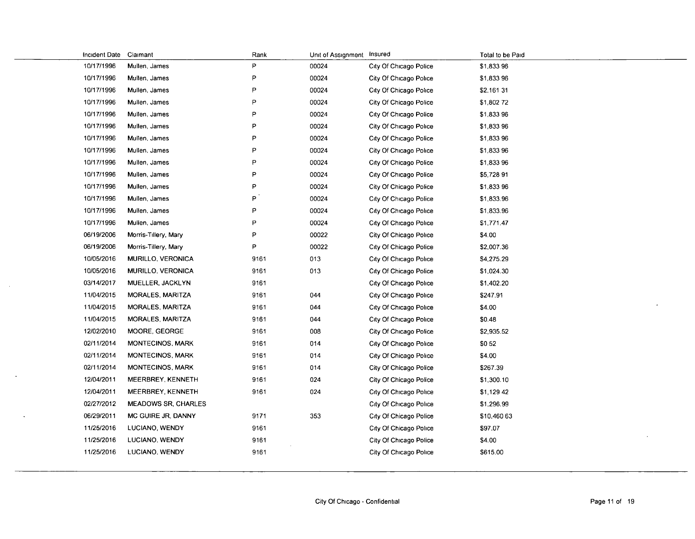| Incident Date | Claimant                   | Rank | Unit of Assignment Insured |                        | Total to be Paid |
|---------------|----------------------------|------|----------------------------|------------------------|------------------|
| 10/17/1996    | Mullen, James              | P    | 00024                      | City Of Chicago Police | \$1,833 96       |
| 10/17/1996    | Mullen, James              | P    | 00024                      | City Of Chicago Police | \$1,833 96       |
| 10/17/1996    | Mulien, James              | P    | 00024                      | City Of Chicago Police | \$2,161 31       |
| 10/17/1996    | Mullen, James              | P    | 00024                      | City Of Chicago Police | \$1,802 72       |
| 10/17/1996    | Mullen, James              | P    | 00024                      | City Of Chicago Police | \$1,833 96       |
| 10/17/1996    | Mullen, James              | P    | 00024                      | City Of Chicago Police | \$1,833 96       |
| 10/17/1996    | Mullen, James              | P    | 00024                      | City Of Chicago Police | \$1,83396        |
| 10/17/1996    | Mullen, James              | P    | 00024                      | City Of Chicago Police | \$1,833 96       |
| 10/17/1996    | Mullen, James              | P    | 00024                      | City Of Chicago Police | \$1,833 96       |
| 10/17/1996    | Mullen, James              | P    | 00024                      | City Of Chicago Police | \$5,728 91       |
| 10/17/1996    | Mullen, James              | P    | 00024                      | City Of Chicago Police | \$1,833 96       |
| 10/17/1996    | Mullen, James              | P    | 00024                      | City Of Chicago Police | \$1,833.96       |
| 10/17/1996    | Mullen, James              | P    | 00024                      | City Of Chicago Police | \$1,833.96       |
| 10/17/1996    | Mullen, James              | P    | 00024                      | City Of Chicago Police | \$1,771.47       |
| 06/19/2006    | Morris-Tillery, Mary       | P    | 00022                      | City Of Chicago Police | \$4.00           |
| 06/19/2006    | Morris-Tillery, Mary       | P    | 00022                      | City Of Chicago Police | \$2,007.36       |
| 10/05/2016    | <b>MURILLO, VERONICA</b>   | 9161 | 013                        | City Of Chicago Police | \$4,275.29       |
| 10/05/2016    | MURILLO, VERONICA          | 9161 | 013                        | City Of Chicago Police | \$1,024.30       |
| 03/14/2017    | MUELLER, JACKLYN           | 9161 |                            | City Of Chicago Police | \$1,402.20       |
| 11/04/2015    | MORALES, MARITZA           | 9161 | 044                        | City Of Chicago Police | \$247.91         |
| 11/04/2015    | MORALES, MARITZA           | 9161 | 044                        | City Of Chicago Police | \$4.00           |
| 11/04/2015    | MORALES, MARITZA           | 9161 | 044                        | City Of Chicago Police | \$0.48           |
| 12/02/2010    | MOORE, GEORGE              | 9161 | 008                        | City Of Chicago Police | \$2,935.52       |
| 02/11/2014    | MONTECINOS, MARK           | 9161 | 014                        | City Of Chicago Police | \$052            |
| 02/11/2014    | <b>MONTECINOS, MARK</b>    | 9161 | 014                        | City Of Chicago Police | \$4.00           |
| 02/11/2014    | MONTECINOS, MARK           | 9161 | 014                        | City Of Chicago Police | \$267.39         |
| 12/04/2011    | MEERBREY, KENNETH          | 9161 | 024                        | City Of Chicago Police | \$1,300.10       |
| 12/04/2011    | MEERBREY, KENNETH          | 9161 | 024                        | City Of Chicago Police | \$1,129 42       |
| 02/27/2012    | <b>MEADOWS SR, CHARLES</b> |      |                            | City Of Chicago Police | \$1,296.99       |
| 06/29/2011    | MC GUIRE JR, DANNY         | 9171 | 353                        | City Of Chicago Police | \$10,460 63      |
| 11/25/2016    | LUCIANO, WENDY             | 9161 |                            | City Of Chicago Police | \$97.07          |
| 11/25/2016    | LUCIANO, WENDY             | 9161 |                            | City Of Chicago Police | \$4.00           |
| 11/25/2016    | LUCIANO, WENDY             | 9161 |                            | City Of Chicago Police | \$615.00         |
|               |                            |      |                            |                        |                  |

 $\ddot{\phantom{a}}$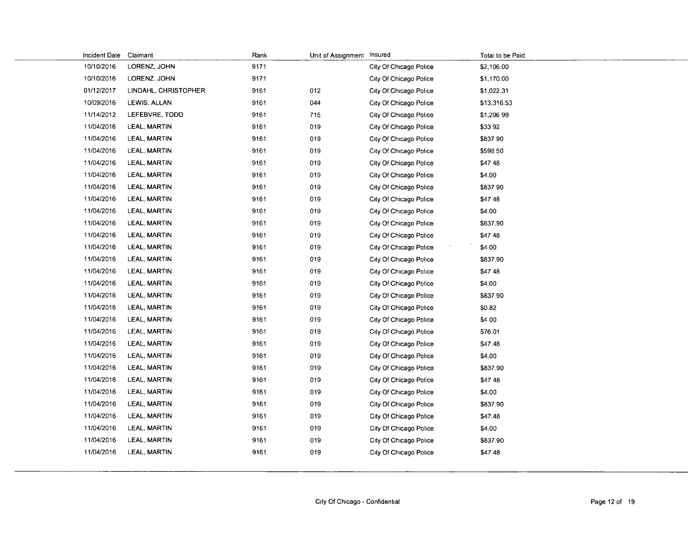| Incident Date | Claimant             | Rank | Unit of Assignment Insured |                        | Total to be Paid |
|---------------|----------------------|------|----------------------------|------------------------|------------------|
| 10/10/2016    | LORENZ, JOHN         | 9171 |                            | City Of Chicago Police | \$2,106.00       |
| 10/10/2016    | LORENZ, JOHN         | 9171 |                            | City Of Chicago Police | \$1,170.00       |
| 01/12/2017    | LINDAHL, CHRISTOPHER | 9161 | 012                        | City Of Chicago Police | \$1,022.31       |
| 10/09/2016    | LEWIS, ALLAN         | 9161 | 044                        | City Of Chicago Police | \$13,316.53      |
| 11/14/2012    | LEFEBVRE, TODD       | 9161 | 715                        | City Of Chicago Police | \$1,296 99       |
| 11/04/2016    | LEAL, MARTIN         | 9161 | 019                        | City Of Chicago Police | \$3392           |
| 11/04/2016    | <b>LEAL, MARTIN</b>  | 9161 | 019                        | City Of Chicago Police | \$837 90         |
| 11/04/2016    | LEAL, MARTIN         | 9161 | 019                        | City Of Chicago Police | \$598 50         |
| 11/04/2016    | LEAL, MARTIN         | 9161 | 019                        | City Of Chicago Police | \$47 48          |
| 11/04/2016    | LEAL, MARTIN         | 9161 | 019                        | City Of Chicago Police | \$4.00           |
| 11/04/2016    | <b>LEAL, MARTIN</b>  | 9161 | 019                        | City Of Chicago Police | \$837 90         |
| 11/04/2016    | LEAL, MARTIN         | 9161 | 019                        | City Of Chicago Police | \$47 48          |
| 11/04/2016    | <b>LEAL, MARTIN</b>  | 9161 | 019                        | City Of Chicago Police | \$4.00           |
| 11/04/2016    | LEAL, MARTIN         | 9161 | 019                        | City Of Chicago Police | \$837.90         |
| 11/04/2016    | <b>LEAL, MARTIN</b>  | 9161 | 019                        | City Of Chicago Police | \$47 48          |
| 11/04/2016    | LEAL, MARTIN         | 9161 | 019                        | City Of Chicago Police | \$4 00           |
| 11/04/2016    | <b>LEAL, MARTIN</b>  | 9161 | 019                        | City Of Chicago Police | \$837.90         |
| 11/04/2016    | LEAL, MARTIN         | 9161 | 019                        | City Of Chicago Police | \$47 48          |
| 11/04/2016    | LEAL, MARTIN         | 9161 | 019                        | City Of Chicago Police | \$4.00           |
| 11/04/2016    | LEAL, MARTIN         | 9161 | 019                        | City Of Chicago Police | \$837 90         |
| 11/04/2016    | LEAL, MARTIN         | 9161 | 019                        | City Of Chicago Police | \$0.82           |
| 11/04/2016    | LEAL, MARTIN         | 9161 | 019                        | City Of Chicago Police | \$4 00           |
| 11/04/2016    | LEAL, MARTIN         | 9161 | 019                        | City Of Chicago Police | \$76.01          |
| 11/04/2016    | LEAL, MARTIN         | 9161 | 019                        | City Of Chicago Police | \$47.48          |
| 11/04/2016    | LEAL, MARTIN         | 9161 | 019                        | City Of Chicago Police | \$4.00           |
| 11/04/2016    | LEAL, MARTIN         | 9161 | 019                        | City Of Chicago Police | \$837.90         |
| 11/04/2016    | LEAL, MARTIN         | 9161 | 019                        | City Of Chicago Police | \$47 48          |
| 11/04/2016    | LEAL, MARTIN         | 9161 | 019                        | City Of Chicago Police | \$4.00           |
| 11/04/2016    | <b>LEAL, MARTIN</b>  | 9161 | 019                        | City Of Chicago Police | \$837.90         |
| 11/04/2016    | LEAL, MARTIN         | 9161 | 019                        | City Of Chicago Police | \$47.48          |
| 11/04/2016    | LEAL, MARTIN         | 9161 | 019                        | City Of Chicago Police | \$4.00           |
| 11/04/2016    | LEAL, MARTIN         | 9161 | 019                        | City Of Chicago Police | \$837.90         |
| 11/04/2016    | LEAL, MARTIN         | 9161 | 019                        | City Of Chicago Police | \$47 48          |
|               |                      |      |                            |                        |                  |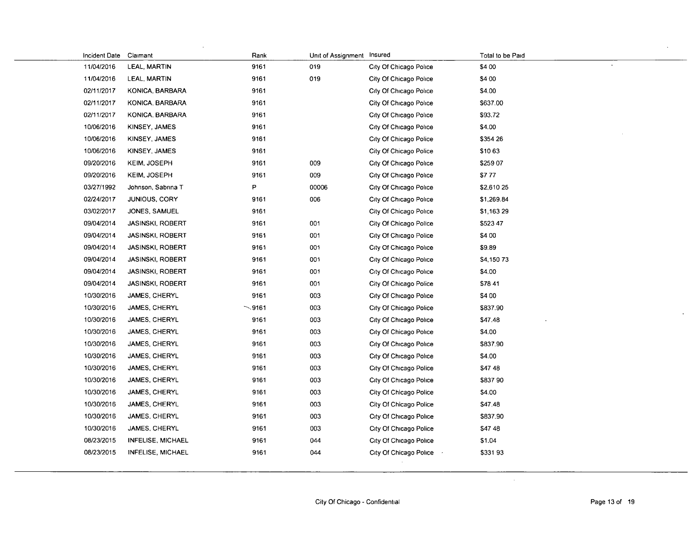| Incident Date | Claimant                | Rank        | Unit of Assignment Insured |                        | Total to be Paid |
|---------------|-------------------------|-------------|----------------------------|------------------------|------------------|
| 11/04/2016    | LEAL, MARTIN            | 9161        | 019                        | City Of Chicago Police | \$4 00           |
| 11/04/2016    | LEAL, MARTIN            | 9161        | 019                        | City Of Chicago Police | \$4 00           |
| 02/11/2017    | KONICA, BARBARA         | 9161        |                            | City Of Chicago Police | \$4.00           |
| 02/11/2017    | KONICA, BARBARA         | 9161        |                            | City Of Chicago Police | \$637.00         |
| 02/11/2017    | KONICA, BARBARA         | 9161        |                            | City Of Chicago Police | \$93.72          |
| 10/06/2016    | KINSEY, JAMES           | 9161        |                            | City Of Chicago Police | \$4.00           |
| 10/06/2016    | KINSEY JAMES            | 9161        |                            | City Of Chicago Police | \$354 26         |
| 10/06/2016    | KINSEY, JAMES           | 9161        |                            | City Of Chicago Police | \$1063           |
| 09/20/2016    | KEIM, JOSEPH            | 9161        | 009                        | City Of Chicago Police | \$259 07         |
| 09/20/2016    | <b>KEIM, JOSEPH</b>     | 9161        | 009                        | City Of Chicago Police | \$777            |
| 03/27/1992    | Johnson, Sabrina T      | P           | 00006                      | City Of Chicago Police | \$2,610 25       |
| 02/24/2017    | JUNIOUS, CORY           | 9161        | 006                        | City Of Chicago Police | \$1,269.84       |
| 03/02/2017    | JONES, SAMUEL           | 9161        |                            | City Of Chicago Police | \$1,163 29       |
| 09/04/2014    | <b>JASINSKI, ROBERT</b> | 9161        | 001                        | City Of Chicago Police | \$523 47         |
| 09/04/2014    | <b>JASINSKI, ROBERT</b> | 9161        | 001                        | City Of Chicago Police | \$4 00           |
| 09/04/2014    | <b>JASINSKI, ROBERT</b> | 9161        | 001                        | City Of Chicago Police | \$9.89           |
| 09/04/2014    | <b>JASINSKI, ROBERT</b> | 9161        | 001                        | City Of Chicago Police | S4,15073         |
| 09/04/2014    | <b>JASINSKI, ROBERT</b> | 9161        | 001                        | City Of Chicago Police | \$4.00           |
| 09/04/2014    | <b>JASINSKI, ROBERT</b> | 9161        | 001                        | City Of Chicago Police | \$78 41          |
| 10/30/2016    | JAMES, CHERYL           | 9161        | 003                        | City Of Chicago Police | \$4 00           |
| 10/30/2016    | JAMES, CHERYL           | $\sim$ 9161 | 003                        | City Of Chicago Police | \$837.90         |
| 10/30/2016    | JAMES, CHERYL           | 9161        | 003                        | City Of Chicago Police | \$47.48          |
| 10/30/2016    | JAMES, CHERYL           | 9161        | 003                        | City Of Chicago Police | \$4.00           |
| 10/30/2016    | JAMES, CHERYL           | 9161        | 003                        | City Of Chicago Police | \$837.90         |
| 10/30/2016    | JAMES, CHERYL           | 9161        | 003                        | City Of Chicago Police | \$4.00           |
| 10/30/2016    | <b>JAMES, CHERYL</b>    | 9161        | 003                        | City Of Chicago Police | \$47 48          |
| 10/30/2016    | JAMES, CHERYL           | 9161        | 003                        | City Of Chicago Police | \$837 90         |
| 10/30/2016    | JAMES, CHERYL           | 9161        | 003                        | City Of Chicago Police | \$4.00           |
| 10/30/2016    | JAMES, CHERYL           | 9161        | 003                        | City Of Chicago Police | \$47.48          |
| 10/30/2016    | JAMES, CHERYL           | 9161        | 003                        | City Of Chicago Police | \$837.90         |
| 10/30/2016    | JAMES, CHERYL           | 9161        | 003                        | City Of Chicago Police | \$47 48          |
| 08/23/2015    | INFELISE, MICHAEL       | 9161        | 044                        | City Of Chicago Police | \$1.04           |
| 08/23/2015    | INFELISE, MICHAEL       | 9161        | 044                        | City Of Chicago Police | \$33193          |
|               |                         |             |                            |                        |                  |

÷.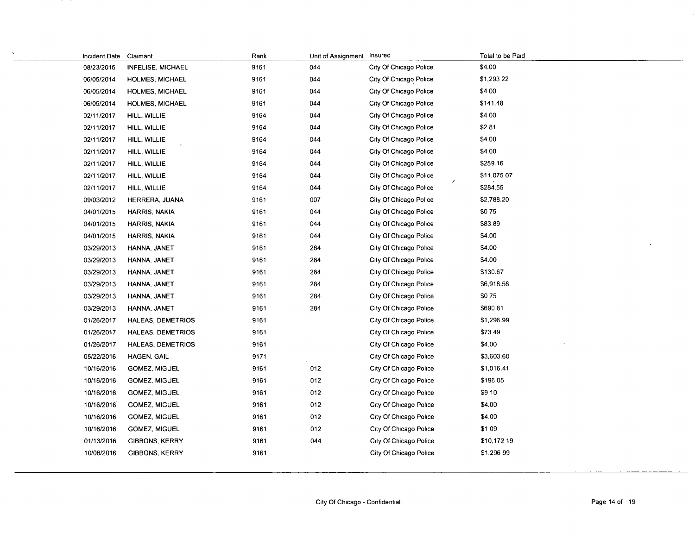| Incident Date | Claimant                 | Rank | Unit of Assignment | Insured                            | Total to be Paid |
|---------------|--------------------------|------|--------------------|------------------------------------|------------------|
| 08/23/2015    | <b>INFELISE, MICHAEL</b> | 9161 | 044                | City Of Chicago Police             | \$4.00           |
| 06/05/2014    | HOLMES, MICHAEL          | 9161 | 044                | City Of Chicago Police             | \$1,293 22       |
| 06/05/2014    | HOLMES, MICHAEL          | 9161 | 044                | City Of Chicago Police             | \$4 00           |
| 06/05/2014    | HOLMES, MICHAEL          | 9161 | 044                | City Of Chicago Police             | \$141.48         |
| 02/11/2017    | HILL, WILLIE             | 9164 | 044                | City Of Chicago Police             | \$4 00           |
| 02/11/2017    | HILL, WILLIE             | 9164 | 044                | City Of Chicago Police             | \$281            |
| 02/11/2017    | HILL, WILLIE             | 9164 | 044                | City Of Chicago Police             | \$4.00           |
| 02/11/2017    | HILL, WILLIE             | 9164 | 044                | City Of Chicago Police             | \$4.00           |
| 02/11/2017    | HILL, WILLIE             | 9164 | 044                | City Of Chicago Police             | \$259.16         |
| 02/11/2017    | HILL, WILLIE             | 9164 | 044                | City Of Chicago Police<br>$\prime$ | \$11,075 07      |
| 02/11/2017    | HILL, WILLIE             | 9164 | 044                | City Of Chicago Police             | \$284.55         |
| 09/03/2012    | HERRERA, JUANA           | 9161 | 007                | City Of Chicago Police             | \$2,788.20       |
| 04/01/2015    | HARRIS, NAKIA            | 9161 | 044                | City Of Chicago Police             | \$075            |
| 04/01/2015    | HARRIS, NAKIA            | 9161 | 044                | City Of Chicago Police             | \$83.89          |
| 04/01/2015    | HARRIS, NAKIA            | 9161 | 044                | City Of Chicago Police             | \$4.00           |
| 03/29/2013    | HANNA, JANET             | 9161 | 284                | City Of Chicago Police             | \$4.00           |
| 03/29/2013    | HANNA, JANET             | 9161 | 284                | City Of Chicago Police             | \$4.00           |
| 03/29/2013    | HANNA, JANET             | 9161 | 284                | City Of Chicago Police             | \$130.67         |
| 03/29/2013    | HANNA, JANET             | 9161 | 284                | City Of Chicago Police             | \$6,918.56       |
| 03/29/2013    | HANNA, JANET             | 9161 | 284                | City Of Chicago Police             | \$075            |
| 03/29/2013    | HANNA, JANET             | 9161 | 284                | City Of Chicago Police             | \$690 81         |
| 01/26/2017    | HALEAS, DEMETRIOS        | 9161 |                    | City Of Chicago Police             | \$1,296.99       |
| 01/26/2017    | HALEAS, DEMETRIOS        | 9161 |                    | City Of Chicago Police             | \$73.49          |
| 01/26/2017    | HALEAS, DEMETRIOS        | 9161 |                    | City Of Chicago Police             | \$4.00           |
| 05/22/2016    | HAGEN, GAIL              | 9171 |                    | City Of Chicago Police             | \$3,603.60       |
| 10/16/2016    | <b>GOMEZ, MIGUEL</b>     | 9161 | 012                | City Of Chicago Police             | \$1,016.41       |
| 10/16/2016    | GOMEZ, MIGUEL            | 9161 | 012                | City Of Chicago Police             | \$196 05         |
| 10/16/2016    | <b>GOMEZ, MIGUEL</b>     | 9161 | 012                | City Of Chicago Police             | <b>S9 10</b>     |
| 10/16/2016    | <b>GOMEZ, MIGUEL</b>     | 9161 | 012                | City Of Chicago Police             | \$4.00           |
| 10/16/2016    | <b>GOMEZ, MIGUEL</b>     | 9161 | 012                | City Of Chicago Police             | \$4.00           |
| 10/16/2016    | GOMEZ, MIGUEL            | 9161 | 012                | City Of Chicago Police             | \$109            |
| 01/13/2016    | <b>GIBBONS, KERRY</b>    | 9161 | 044                | City Of Chicago Police             | \$10,172 19      |
| 10/08/2016    | <b>GIBBONS, KERRY</b>    | 9161 |                    | City Of Chicago Police             | \$1,296 99       |
|               |                          |      |                    |                                    |                  |

 $\lambda$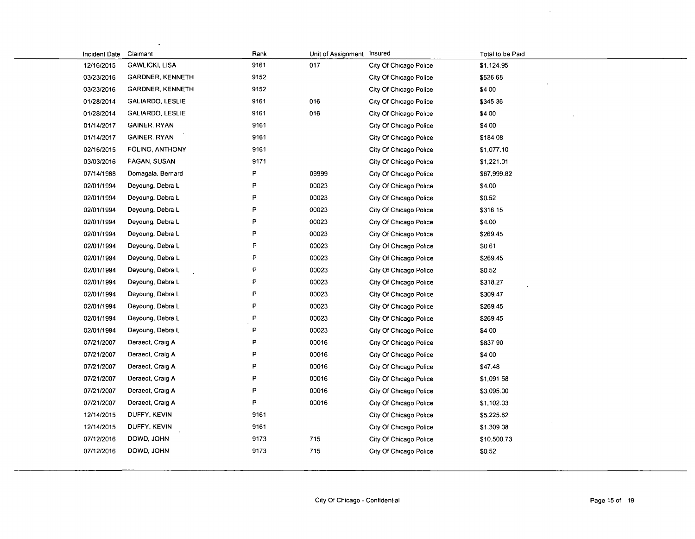| Incident Date | Claimant                | Rank | Unit of Assignment Insured |                        | Total to be Paid |
|---------------|-------------------------|------|----------------------------|------------------------|------------------|
| 12/16/2015    | <b>GAWLICKI, LISA</b>   | 9161 | 017                        | City Of Chicago Police | \$1,124.95       |
| 03/23/2016    | <b>GARDNER, KENNETH</b> | 9152 |                            | City Of Chicago Police | \$526 68         |
| 03/23/2016    | <b>GARDNER, KENNETH</b> | 9152 |                            | City Of Chicago Police | \$4 00           |
| 01/28/2014    | <b>GALIARDO, LESLIE</b> | 9161 | 016                        | City Of Chicago Police | \$345 36         |
| 01/28/2014    | <b>GALIARDO, LESLIE</b> | 9161 | 016                        | City Of Chicago Police | \$4 00           |
| 01/14/2017    | <b>GAINER, RYAN</b>     | 9161 |                            | City Of Chicago Police | \$4 00           |
| 01/14/2017    | <b>GAINER, RYAN</b>     | 9161 |                            | City Of Chicago Police | \$184 08         |
| 02/16/2015    | FOLINO, ANTHONY         | 9161 |                            | City Of Chicago Police | \$1,077.10       |
| 03/03/2016    | FAGAN, SUSAN            | 9171 |                            | City Of Chicago Police | \$1,221.01       |
| 07/14/1988    | Domagala, Bernard       | P    | 09999                      | City Of Chicago Police | \$67,999.82      |
| 02/01/1994    | Deyoung, Debra L        | P    | 00023                      | City Of Chicago Police | \$4.00           |
| 02/01/1994    | Deyoung, Debra L        | P    | 00023                      | City Of Chicago Police | \$0.52           |
| 02/01/1994    | Deyoung, Debra L        | P    | 00023                      | City Of Chicago Police | \$316 15         |
| 02/01/1994    | Deyoung, Debra L        | P    | 00023                      | City Of Chicago Police | \$4.00           |
| 02/01/1994    | Deyoung, Debra L        | P    | 00023                      | City Of Chicago Police | \$269.45         |
| 02/01/1994    | Deyoung, Debra L        | P    | 00023                      | City Of Chicago Police | \$061            |
| 02/01/1994    | Deyoung, Debra L        | P    | 00023                      | City Of Chicago Police | \$269.45         |
| 02/01/1994    | Deyoung, Debra L        | P    | 00023                      | City Of Chicago Police | \$0.52           |
| 02/01/1994    | Deyoung, Debra L        | P    | 00023                      | City Of Chicago Police | \$318.27         |
| 02/01/1994    | Deyoung, Debra L        | P    | 00023                      | City Of Chicago Police | \$309.47         |
| 02/01/1994    | Deyoung, Debra L        | P    | 00023                      | City Of Chicago Police | \$269.45         |
| 02/01/1994    | Deyoung, Debra L        | P    | 00023                      | City Of Chicago Police | \$269.45         |
| 02/01/1994    | Deyoung, Debra L        | P    | 00023                      | City Of Chicago Police | \$4 00           |
| 07/21/2007    | Deraedt, Craig A        | P    | 00016                      | City Of Chicago Police | \$837 90         |
| 07/21/2007    | Deraedt, Craig A        | P    | 00016                      | City Of Chicago Police | \$4 00           |
| 07/21/2007    | Deraedt, Craig A        | P    | 00016                      | City Of Chicago Police | \$47.48          |
| 07/21/2007    | Deraedt, Craig A        | P    | 00016                      | City Of Chicago Police | \$1,091 58       |
| 07/21/2007    | Deraedt, Craig A        | P    | 00016                      | City Of Chicago Police | \$3,095.00       |
| 07/21/2007    | Deraedt, Craig A        | P    | 00016                      | City Of Chicago Police | \$1,102.03       |
| 12/14/2015    | DUFFY, KEVIN            | 9161 |                            | City Of Chicago Police | \$5,225.62       |
| 12/14/2015    | DUFFY, KEVIN            | 9161 |                            | City Of Chicago Police | \$1,309 08       |
| 07/12/2016    | DOWD, JOHN              | 9173 | 715                        | City Of Chicago Police | \$10,500.73      |
| 07/12/2016    | DOWD, JOHN              | 9173 | 715                        | City Of Chicago Police | \$0.52           |
|               |                         |      |                            |                        |                  |

 $\overline{a}$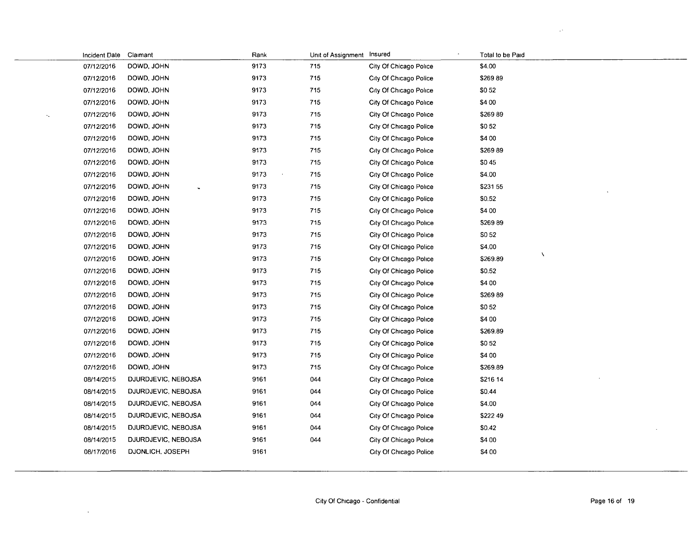|                        | Incident Date Claimant |                     | Rank | Unit of Assignment Insured |                        | Total to be Paid |
|------------------------|------------------------|---------------------|------|----------------------------|------------------------|------------------|
|                        | 07/12/2016             | DOWD, JOHN          | 9173 | 715                        | City Of Chicago Police | \$4.00           |
|                        | 07/12/2016             | DOWD, JOHN          | 9173 | 715                        | City Of Chicago Police | \$26989          |
|                        | 07/12/2016             | DOWD, JOHN          | 9173 | 715                        | City Of Chicago Police | \$052            |
|                        | 07/12/2016             | DOWD, JOHN          | 9173 | 715                        | City Of Chicago Police | \$4 00           |
| $\mathcal{C}_{\infty}$ | 07/12/2016             | DOWD, JOHN          | 9173 | 715                        | City Of Chicago Police | \$26989          |
|                        | 07/12/2016             | DOWD, JOHN          | 9173 | 715                        | City Of Chicago Police | \$052            |
|                        | 07/12/2016             | DOWD, JOHN          | 9173 | 715                        | City Of Chicago Police | \$4 00           |
|                        | 07/12/2016             | DOWD, JOHN          | 9173 | 715                        | City Of Chicago Police | \$26989          |
|                        | 07/12/2016             | DOWD, JOHN          | 9173 | 715                        | City Of Chicago Police | \$045            |
|                        | 07/12/2016             | DOWD, JOHN          | 9173 | 715                        | City Of Chicago Police | \$4.00           |
|                        | 07/12/2016             | DOWD, JOHN          | 9173 | 715                        | City Of Chicago Police | \$231 55         |
|                        | 07/12/2016             | DOWD, JOHN          | 9173 | 715                        | City Of Chicago Police | \$0.52           |
|                        | 07/12/2016             | DOWD, JOHN          | 9173 | 715                        | City Of Chicago Police | \$4 00           |
|                        | 07/12/2016             | DOWD, JOHN          | 9173 | 715                        | City Of Chicago Police | \$26989          |
|                        | 07/12/2016             | DOWD, JOHN          | 9173 | 715                        | City Of Chicago Police | \$052            |
|                        | 07/12/2016             | DOWD, JOHN          | 9173 | 715                        | City Of Chicago Police | \$4.00           |
|                        | 07/12/2016             | DOWD, JOHN          | 9173 | 715                        | City Of Chicago Police | N<br>\$269.89    |
|                        | 07/12/2016             | DOWD, JOHN          | 9173 | 715                        | City Of Chicago Police | \$0.52           |
|                        | 07/12/2016             | DOWD, JOHN          | 9173 | 715                        | City Of Chicago Police | \$4 00           |
|                        | 07/12/2016             | DOWD, JOHN          | 9173 | 715                        | City Of Chicago Police | \$26989          |
|                        | 07/12/2016             | DOWD, JOHN          | 9173 | 715                        | City Of Chicago Police | \$052            |
|                        | 07/12/2016             | DOWD, JOHN          | 9173 | 715                        | City Of Chicago Police | \$4 00           |
|                        | 07/12/2016             | DOWD, JOHN          | 9173 | 715                        | City Of Chicago Police | \$269.89         |
|                        | 07/12/2016             | DOWD, JOHN          | 9173 | 715                        | City Of Chicago Police | \$052            |
|                        | 07/12/2016             | DOWD, JOHN          | 9173 | 715                        | City Of Chicago Police | \$4 00           |
|                        | 07/12/2016             | DOWD, JOHN          | 9173 | 715                        | City Of Chicago Police | \$269.89         |
|                        | 08/14/2015             | DJURDJEVIC, NEBOJSA | 9161 | 044                        | City Of Chicago Police | \$216 14         |
|                        | 08/14/2015             | DJURDJEVIC, NEBOJSA | 9161 | 044                        | City Of Chicago Police | \$0.44           |
|                        | 08/14/2015             | DJURDJEVIC, NEBOJSA | 9161 | 044                        | City Of Chicago Police | \$4.00           |
|                        | 08/14/2015             | DJURDJEVIC, NEBOJSA | 9161 | 044                        | City Of Chicago Police | \$222 49         |
|                        | 08/14/2015             | DJURDJEVIC, NEBOJSA | 9161 | 044                        | City Of Chicago Police | \$0.42           |
|                        | 08/14/2015             | DJURDJEVIC, NEBOJSA | 9161 | 044                        | City Of Chicago Police | \$4 00           |
|                        | 08/17/2016             | DJONLICH, JOSEPH    | 9161 |                            | City Of Chicago Police | \$4 00           |
|                        |                        |                     |      |                            |                        |                  |

 $\mathcal{A}^{\mathcal{A}}$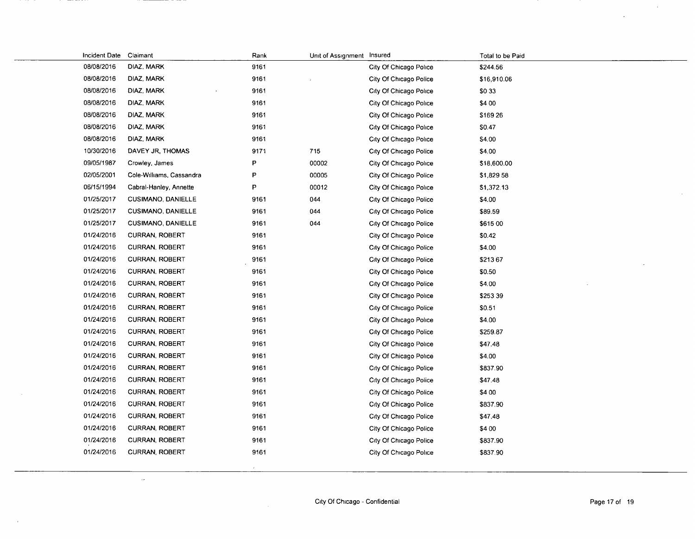| Incident Date Claimant |                           | Rank | Unit of Assignment Insured |                        | Total to be Paid |
|------------------------|---------------------------|------|----------------------------|------------------------|------------------|
| 08/08/2016             | DIAZ, MARK                | 9161 |                            | City Of Chicago Police | \$244.56         |
| 08/08/2016             | DIAZ, MARK                | 9161 |                            | City Of Chicago Police | \$16,910.06      |
| 08/08/2016             | DIAZ, MARK                | 9161 |                            | City Of Chicago Police | \$033            |
| 08/08/2016             | DIAZ, MARK                | 9161 |                            | City Of Chicago Police | \$4 00           |
| 08/08/2016             | DIAZ, MARK                | 9161 |                            | City Of Chicago Police | \$169 26         |
| 08/08/2016             | DIAZ, MARK                | 9161 |                            | City Of Chicago Police | \$0.47           |
| 08/08/2016             | DIAZ, MARK                | 9161 |                            | City Of Chicago Police | \$4.00           |
| 10/30/2016             | DAVEY JR, THOMAS          | 9171 | 715                        | City Of Chicago Police | \$4.00           |
| 09/05/1987             | Crowley, James            | P    | 00002                      | City Of Chicago Police | \$18,600.00      |
| 02/05/2001             | Cole-Williams, Cassandra  | P    | 00005                      | City Of Chicago Police | \$1,829 58       |
| 06/15/1994             | Cabral-Hanley, Annette    | P    | 00012                      | City Of Chicago Police | \$1,372.13       |
| 01/25/2017             | <b>CUSIMANO, DANIELLE</b> | 9161 | 044                        | City Of Chicago Police | \$4.00           |
| 01/25/2017             | <b>CUSIMANO, DANIELLE</b> | 9161 | 044                        | City Of Chicago Police | \$89.59          |
| 01/25/2017             | <b>CUSIMANO, DANIELLE</b> | 9161 | 044                        | City Of Chicago Police | \$615 00         |
| 01/24/2016             | <b>CURRAN, ROBERT</b>     | 9161 |                            | City Of Chicago Police | \$0.42           |
| 01/24/2016             | <b>CURRAN, ROBERT</b>     | 9161 |                            | City Of Chicago Police | \$4.00           |
| 01/24/2016             | <b>CURRAN, ROBERT</b>     | 9161 |                            | City Of Chicago Police | \$21367          |
| 01/24/2016             | <b>CURRAN, ROBERT</b>     | 9161 |                            | City Of Chicago Police | \$0.50           |
| 01/24/2016             | <b>CURRAN, ROBERT</b>     | 9161 |                            | City Of Chicago Police | \$4.00           |
| 01/24/2016             | <b>CURRAN, ROBERT</b>     | 9161 |                            | City Of Chicago Police | \$253 39         |
| 01/24/2016             | <b>CURRAN, ROBERT</b>     | 9161 |                            | City Of Chicago Police | \$0.51           |
| 01/24/2016             | CURRAN, ROBERT            | 9161 |                            | City Of Chicago Police | \$4.00           |
| 01/24/2016             | <b>CURRAN, ROBERT</b>     | 9161 |                            | City Of Chicago Police | \$259.87         |
| 01/24/2016             | <b>CURRAN, ROBERT</b>     | 9161 |                            | City Of Chicago Police | \$47.48          |
| 01/24/2016             | <b>CURRAN, ROBERT</b>     | 9161 |                            | City Of Chicago Police | \$4.00           |
| 01/24/2016             | <b>CURRAN, ROBERT</b>     | 9161 |                            | City Of Chicago Police | \$837.90         |
| 01/24/2016             | <b>CURRAN, ROBERT</b>     | 9161 |                            | City Of Chicago Police | \$47.48          |
| 01/24/2016             | <b>CURRAN, ROBERT</b>     | 9161 |                            | City Of Chicago Police | \$4 00           |
| 01/24/2016             | <b>CURRAN, ROBERT</b>     | 9161 |                            | City Of Chicago Police | \$837.90         |
| 01/24/2016             | <b>CURRAN, ROBERT</b>     | 9161 |                            | City Of Chicago Police | \$47.48          |
| 01/24/2016             | <b>CURRAN, ROBERT</b>     | 9161 |                            | City Of Chicago Police | \$4 00           |
| 01/24/2016             | <b>CURRAN, ROBERT</b>     | 9161 |                            | City Of Chicago Police | \$837.90         |
| 01/24/2016             | <b>CURRAN, ROBERT</b>     | 9161 |                            | City Of Chicago Police | \$837.90         |
|                        |                           |      |                            |                        |                  |
|                        |                           |      |                            |                        |                  |

 $-1$ 

 $\omega$ 

 $\mathcal{L}$ 

 $\bar{\Delta}$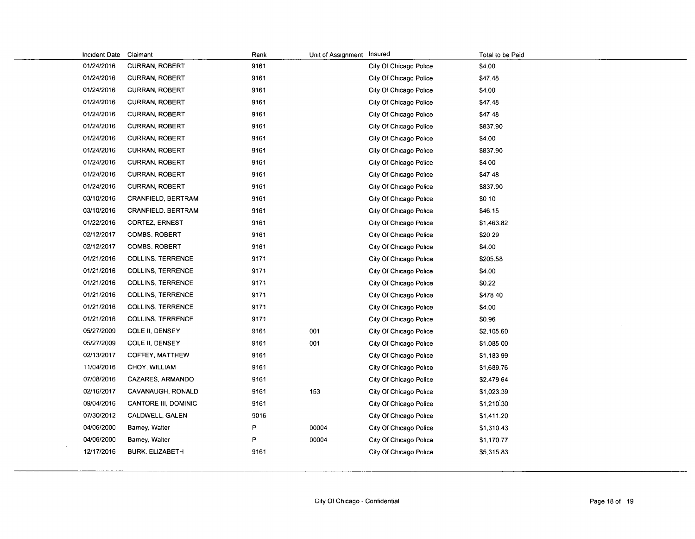| Incident Date | Claimant                  | Rank | Unit of Assignment Insured |                        | Total to be Paid |
|---------------|---------------------------|------|----------------------------|------------------------|------------------|
| 01/24/2016    | CURRAN, ROBERT            | 9161 |                            | City Of Chicago Police | \$4.00           |
| 01/24/2016    | <b>CURRAN, ROBERT</b>     | 9161 |                            | City Of Chicago Police | \$47.48          |
| 01/24/2016    | <b>CURRAN, ROBERT</b>     | 9161 |                            | City Of Chicago Police | \$4.00           |
| 01/24/2016    | <b>CURRAN, ROBERT</b>     | 9161 |                            | City Of Chicago Police | \$47.48          |
| 01/24/2016    | <b>CURRAN, ROBERT</b>     | 9161 |                            | City Of Chicago Police | \$47 48          |
| 01/24/2016    | <b>CURRAN, ROBERT</b>     | 9161 |                            | City Of Chicago Police | \$837.90         |
| 01/24/2016    | <b>CURRAN, ROBERT</b>     | 9161 |                            | City Of Chicago Police | \$4.00           |
| 01/24/2016    | <b>CURRAN, ROBERT</b>     | 9161 |                            | City Of Chicago Police | \$837.90         |
| 01/24/2016    | <b>CURRAN, ROBERT</b>     | 9161 |                            | City Of Chicago Police | \$4 00           |
| 01/24/2016    | <b>CURRAN, ROBERT</b>     | 9161 |                            | City Of Chicago Police | \$47 48          |
| 01/24/2016    | <b>CURRAN, ROBERT</b>     | 9161 |                            | City Of Chicago Police | \$837.90         |
| 03/10/2016    | <b>CRANFIELD, BERTRAM</b> | 9161 |                            | City Of Chicago Police | \$0 10           |
| 03/10/2016    | CRANFIELD, BERTRAM        | 9161 |                            | City Of Chicago Police | \$46.15          |
| 01/22/2016    | <b>CORTEZ, ERNEST</b>     | 9161 |                            | City Of Chicago Police | \$1,463.82       |
| 02/12/2017    | <b>COMBS, ROBERT</b>      | 9161 |                            | City Of Chicago Police | \$20 29          |
| 02/12/2017    | <b>COMBS, ROBERT</b>      | 9161 |                            | City Of Chicago Police | \$4.00           |
| 01/21/2016    | <b>COLLINS, TERRENCE</b>  | 9171 |                            | City Of Chicago Police | \$205.58         |
| 01/21/2016    | <b>COLLINS, TERRENCE</b>  | 9171 |                            | City Of Chicago Police | \$4.00           |
| 01/21/2016    | <b>COLLINS, TERRENCE</b>  | 9171 |                            | City Of Chicago Police | \$0.22           |
| 01/21/2016    | <b>COLLINS, TERRENCE</b>  | 9171 |                            | City Of Chicago Police | \$478 40         |
| 01/21/2016    | <b>COLLINS, TERRENCE</b>  | 9171 |                            | City Of Chicago Police | \$4.00           |
| 01/21/2016    | <b>COLLINS, TERRENCE</b>  | 9171 |                            | City Of Chicago Police | \$0.96           |
| 05/27/2009    | COLE II, DENSEY           | 9161 | 001                        | City Of Chicago Police | \$2,105.60       |
| 05/27/2009    | COLE II, DENSEY           | 9161 | 001                        | City Of Chicago Police | \$1,085 00       |
| 02/13/2017    | COFFEY, MATTHEW           | 9161 |                            | City Of Chicago Police | \$1,183 99       |
| 11/04/2016    | CHOY, WILLIAM             | 9161 |                            | City Of Chicago Police | \$1,689.76       |
| 07/08/2016    | CAZARES, ARMANDO          | 9161 |                            | City Of Chicago Police | \$2,479 64       |
| 02/16/2017    | CAVANAUGH, RONALD         | 9161 | 153                        | City Of Chicago Police | \$1,023.39       |
| 09/04/2016    | CANTORE III, DOMINIC      | 9161 |                            | City Of Chicago Police | \$1,210.30       |
| 07/30/2012    | CALDWELL, GALEN           | 9016 |                            | City Of Chicago Police | \$1,411.20       |
| 04/06/2000    | Barney, Walter            | P    | 00004                      | City Of Chicago Police | \$1,310.43       |
| 04/06/2000    | Barney, Walter            | P    | 00004                      | City Of Chicago Police | \$1,170.77       |
| 12/17/2016    | <b>BURK, ELIZABETH</b>    | 9161 |                            | City Of Chicago Police | \$5,315.83       |
|               |                           |      |                            |                        |                  |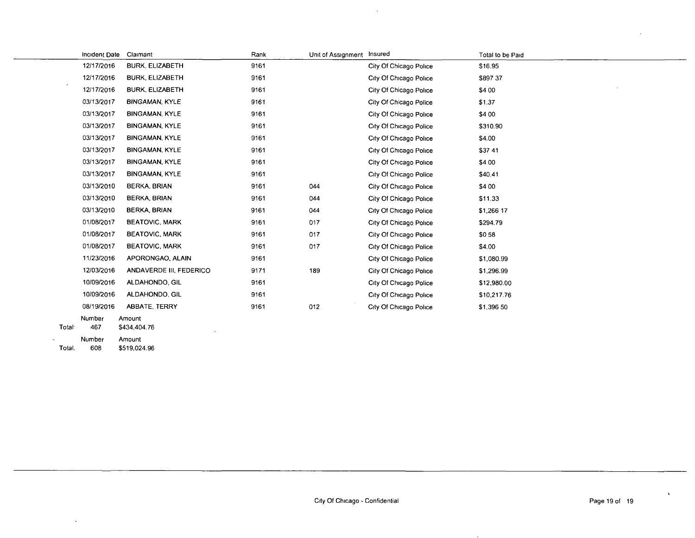|                    | Incident Date | Claimant                | Rank | Unit of Assignment Insured |                        | Total to be Paid |
|--------------------|---------------|-------------------------|------|----------------------------|------------------------|------------------|
|                    | 12/17/2016    | <b>BURK, ELIZABETH</b>  | 9161 |                            | City Of Chicago Police | \$16.95          |
|                    | 12/17/2016    | <b>BURK, ELIZABETH</b>  | 9161 |                            | City Of Chicago Police | \$897 37         |
|                    | 12/17/2016    | <b>BURK, ELIZABETH</b>  | 9161 |                            | City Of Chicago Police | \$4 00           |
|                    | 03/13/2017    | <b>BINGAMAN, KYLE</b>   | 9161 |                            | City Of Chicago Police | \$1.37           |
|                    | 03/13/2017    | <b>BINGAMAN, KYLE</b>   | 9161 |                            | City Of Chicago Police | \$4 00           |
|                    | 03/13/2017    | <b>BINGAMAN, KYLE</b>   | 9161 |                            | City Of Chicago Police | \$310.90         |
|                    | 03/13/2017    | <b>BINGAMAN, KYLE</b>   | 9161 |                            | City Of Chicago Police | \$4.00           |
|                    | 03/13/2017    | <b>BINGAMAN, KYLE</b>   | 9161 |                            | City Of Chicago Police | \$37 41          |
|                    | 03/13/2017    | <b>BINGAMAN, KYLE</b>   | 9161 |                            | City Of Chicago Police | \$4 00           |
|                    | 03/13/2017    | <b>BINGAMAN, KYLE</b>   | 9161 |                            | City Of Chicago Police | \$40.41          |
|                    | 03/13/2010    | <b>BERKA, BRIAN</b>     | 9161 | 044                        | City Of Chicago Police | \$4 00           |
|                    | 03/13/2010    | <b>BERKA, BRIAN</b>     | 9161 | 044                        | City Of Chicago Police | \$11.33          |
|                    | 03/13/2010    | <b>BERKA, BRIAN</b>     | 9161 | 044                        | City Of Chicago Police | \$1,266 17       |
|                    | 01/08/2017    | <b>BEATOVIC, MARK</b>   | 9161 | 017                        | City Of Chicago Police | \$294.79         |
|                    | 01/08/2017    | <b>BEATOVIC, MARK</b>   | 9161 | 017                        | City Of Chicago Police | \$058            |
|                    | 01/08/2017    | <b>BEATOVIC, MARK</b>   | 9161 | 017                        | City Of Chicago Police | \$4.00           |
|                    | 11/23/2016    | APORONGAO, ALAIN        | 9161 |                            | City Of Chicago Police | \$1,080.99       |
|                    | 12/03/2016    | ANDAVERDE III, FEDERICO | 9171 | 189                        | City Of Chicago Police | \$1,296.99       |
|                    | 10/09/2016    | ALDAHONDO, GIL          | 9161 |                            | City Of Chicago Police | \$12,980.00      |
|                    | 10/09/2016    | ALDAHONDO, GIL          | 9161 |                            | City Of Chicago Police | \$10,217.76      |
|                    | 08/19/2016    | <b>ABBATE, TERRY</b>    | 9161 | 012                        | City Of Chicago Police | \$1,396 50       |
| Total <sup>-</sup> | Number<br>467 | Amount<br>\$434,404.76  |      |                            |                        |                  |
|                    | Numher        | Amount                  |      |                            |                        |                  |

 $\mathcal{L}^{\mathcal{A}}$ 

Total, Number 608 Amount \$519,024.96

 $\mathbf{v}$ 

 $\sim$ 

 $\tilde{\mathbf{v}}$